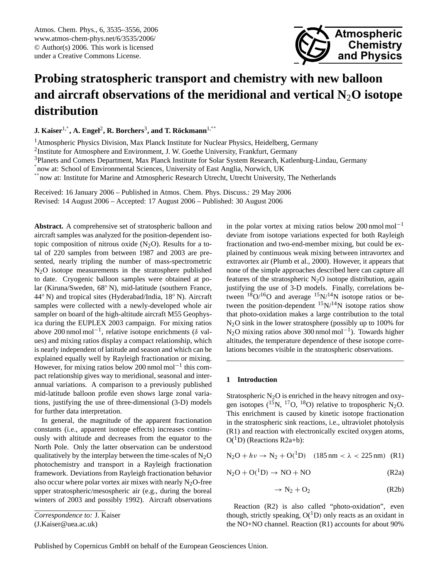Atmos. Chem. Phys., 6, 3535[–3556,](#page-0-0) 2006 www.atmos-chem-phys.net/6/3535/2006/ © Author(s) 2006. This work is licensed under a Creative Commons License.



# **Probing stratospheric transport and chemistry with new balloon and aircraft observations of the meridional and vertical N**2**O isotope distribution**

**J. Kaiser<sup>1,\*</sup>, A. Engel<sup>2</sup>, R. Borchers<sup>3</sup>, and T. Röckmann<sup>1,∗∗</sup>** 

<sup>1</sup> Atmospheric Physics Division, Max Planck Institute for Nuclear Physics, Heidelberg, Germany

<sup>2</sup>Institute for Atmosphere and Environment, J. W. Goethe University, Frankfurt, Germany

<sup>3</sup>Planets and Comets Department, Max Planck Institute for Solar System Research, Katlenburg-Lindau, Germany

∗ now at: School of Environmental Sciences, University of East Anglia, Norwich, UK

∗∗ now at: Institute for Marine and Atmospheric Research Utrecht, Utrecht University, The Netherlands

Received: 16 January 2006 – Published in Atmos. Chem. Phys. Discuss.: 29 May 2006 Revised: 14 August 2006 – Accepted: 17 August 2006 – Published: 30 August 2006

**Abstract.** A comprehensive set of stratospheric balloon and aircraft samples was analyzed for the position-dependent isotopic composition of nitrous oxide  $(N_2O)$ . Results for a total of 220 samples from between 1987 and 2003 are presented, nearly tripling the number of mass-spectrometric N2O isotope measurements in the stratosphere published to date. Cryogenic balloon samples were obtained at polar (Kiruna/Sweden, 68◦ N), mid-latitude (southern France, 44◦ N) and tropical sites (Hyderabad/India, 18◦ N). Aircraft samples were collected with a newly-developed whole air sampler on board of the high-altitude aircraft M55 Geophysica during the EUPLEX 2003 campaign. For mixing ratios above 200 nmol mol−<sup>1</sup> , relative isotope enrichments (δ values) and mixing ratios display a compact relationship, which is nearly independent of latitude and season and which can be explained equally well by Rayleigh fractionation or mixing. However, for mixing ratios below 200 nmol mol−<sup>1</sup> this compact relationship gives way to meridional, seasonal and interannual variations. A comparison to a previously published mid-latitude balloon profile even shows large zonal variations, justifying the use of three-dimensional (3-D) models for further data interpretation.

In general, the magnitude of the apparent fractionation constants (i.e., apparent isotope effects) increases continuously with altitude and decreases from the equator to the North Pole. Only the latter observation can be understood qualitatively by the interplay between the time-scales of  $N_2O$ photochemistry and transport in a Rayleigh fractionation framework. Deviations from Rayleigh fractionation behavior also occur where polar vortex air mixes with nearly  $N_2O$ -free upper stratospheric/mesospheric air (e.g., during the boreal winters of 2003 and possibly 1992). Aircraft observations

in the polar vortex at mixing ratios below 200 nmol mol<sup>-1</sup> deviate from isotope variations expected for both Rayleigh fractionation and two-end-member mixing, but could be explained by continuous weak mixing between intravortex and extravortex air (Plumb et al., 2000). However, it appears that none of the simple approaches described here can capture all features of the stratospheric  $N_2O$  isotope distribution, again justifying the use of 3-D models. Finally, correlations between  $18$ O/<sup>16</sup>O and average  $15$ N/<sup>14</sup>N isotope ratios or between the position-dependent  $15N/14N$  isotope ratios show that photo-oxidation makes a large contribution to the total  $N<sub>2</sub>O$  sink in the lower stratosphere (possibly up to 100% for N2O mixing ratios above 300 nmol mol−<sup>1</sup> ). Towards higher altitudes, the temperature dependence of these isotope correlations becomes visible in the stratospheric observations.

## **1 Introduction**

Stratospheric  $N_2O$  is enriched in the heavy nitrogen and oxygen isotopes ( $^{15}$ N,  $^{17}$ O,  $^{18}$ O) relative to tropospheric N<sub>2</sub>O. This enrichment is caused by kinetic isotope fractionation in the stratospheric sink reactions, i.e., ultraviolet photolysis (R1) and reaction with electronically excited oxygen atoms,  $O(^1D)$  (Reactions R2a+b):

$$
N_2O + h\nu \to N_2 + O(^1D) \quad (185 \,\text{nm} < \lambda < 225 \,\text{nm}) \quad (R1)
$$

$$
N_2O + O(^1D) \rightarrow NO + NO \tag{R2a}
$$

$$
\rightarrow N_2 + O_2 \tag{R2b}
$$

Reaction (R2) is also called "photo-oxidation", even though, strictly speaking,  $O(^1D)$  only reacts as an oxidant in the NO+NO channel. Reaction (R1) accounts for about 90%

*Correspondence to:* J. Kaiser

<span id="page-0-0"></span><sup>(</sup>J.Kaiser@uea.ac.uk)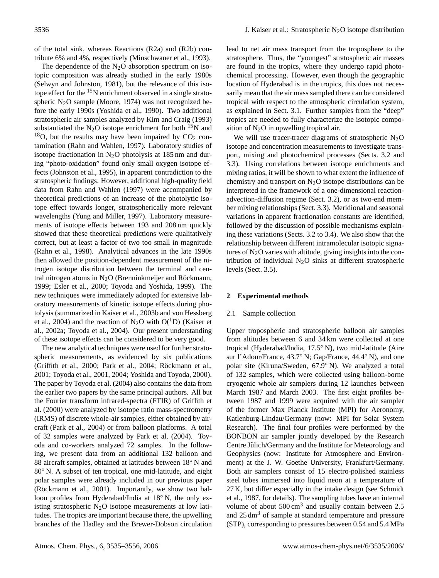of the total sink, whereas Reactions (R2a) and (R2b) contribute 6% and 4%, respectively (Minschwaner et al., 1993).

The dependence of the  $N_2O$  absorption spectrum on isotopic composition was already studied in the early 1980s (Selwyn and Johnston, 1981), but the relevance of this isotope effect for the  $15N$  enrichment observed in a single stratospheric N<sub>2</sub>O sample (Moore, 1974) was not recognized before the early 1990s (Yoshida et al., 1990). Two additional stratospheric air samples analyzed by Kim and Craig (1993) substantiated the  $N_2O$  isotope enrichment for both  $15N$  and  $18$ O, but the results may have been impaired by CO<sub>2</sub> contamination (Rahn and Wahlen, 1997). Laboratory studies of isotope fractionation in  $N_2O$  photolysis at 185 nm and during "photo-oxidation" found only small oxygen isotope effects (Johnston et al., 1995), in apparent contradiction to the stratospheric findings. However, additional high-quality field data from Rahn and Wahlen (1997) were accompanied by theoretical predictions of an increase of the photolytic isotope effect towards longer, stratospherically more relevant wavelengths (Yung and Miller, 1997). Laboratory measurements of isotope effects between 193 and 208 nm quickly showed that these theoretical predictions were qualitatively correct, but at least a factor of two too small in magnitude (Rahn et al., 1998). Analytical advances in the late 1990s then allowed the position-dependent measurement of the nitrogen isotope distribution between the terminal and central nitrogen atoms in  $N<sub>2</sub>O$  (Brenninkmeijer and Röckmann, 1999; Esler et al., 2000; Toyoda and Yoshida, 1999). The new techniques were immediately adopted for extensive laboratory measurements of kinetic isotope effects during photolysis (summarized in Kaiser et al., 2003b and von Hessberg et al., 2004) and the reaction of N<sub>2</sub>O with  $O(^1D)$  (Kaiser et al., 2002a; Toyoda et al., 2004). Our present understanding of these isotope effects can be considered to be very good.

The new analytical techniques were used for further stratospheric measurements, as evidenced by six publications (Griffith et al., 2000; Park et al., 2004; Röckmann et al., 2001; Toyoda et al., 2001, 2004; Yoshida and Toyoda, 2000). The paper by Toyoda et al. (2004) also contains the data from the earlier two papers by the same principal authors. All but the Fourier transform infrared-spectra (FTIR) of Griffith et al. (2000) were analyzed by isotope ratio mass-spectrometry (IRMS) of discrete whole-air samples, either obtained by aircraft (Park et al., 2004) or from balloon platforms. A total of 32 samples were analyzed by Park et al. (2004). Toyoda and co-workers analyzed 72 samples. In the following, we present data from an additional 132 balloon and 88 aircraft samples, obtained at latitudes between 18<sup>°</sup> N and 80◦ N. A subset of ten tropical, one mid-latitude, and eight polar samples were already included in our previous paper  $(Röckmann et al., 2001)$ . Importantly, we show two balloon profiles from Hyderabad/India at 18◦ N, the only existing stratospheric  $N<sub>2</sub>O$  isotope measurements at low latitudes. The tropics are important because there, the upwelling branches of the Hadley and the Brewer-Dobson circulation lead to net air mass transport from the troposphere to the stratosphere. Thus, the "youngest" stratospheric air masses are found in the tropics, where they undergo rapid photochemical processing. However, even though the geographic location of Hyderabad is in the tropics, this does not necessarily mean that the air mass sampled there can be considered tropical with respect to the atmospheric circulation system, as explained in Sect. [3.1.](#page-5-0) Further samples from the "deep" tropics are needed to fully characterize the isotopic composition of  $N_2O$  in upwelling tropical air.

We will use tracer-tracer diagrams of stratospheric  $N_2O$ isotope and concentration measurements to investigate transport, mixing and photochemical processes (Sects. [3.2](#page-5-1) and [3.3\)](#page-12-0). Using correlations between isotope enrichments and mixing ratios, it will be shown to what extent the influence of chemistry and transport on  $N_2O$  isotope distributions can be interpreted in the framework of a one-dimensional reactionadvection-diffusion regime (Sect. [3.2\)](#page-5-1), or as two-end member mixing relationships (Sect. [3.3\)](#page-12-0). Meridional and seasonal variations in apparent fractionation constants are identified, followed by the discussion of possible mechanisms explaining these variations (Sects. [3.2](#page-5-1) to [3.4\)](#page-15-0). We also show that the relationship between different intramolecular isotopic signatures of  $N_2O$  varies with altitude, giving insights into the contribution of individual  $N_2O$  sinks at different stratospheric levels (Sect. [3.5\)](#page-17-0).

# **2 Experimental methods**

# 2.1 Sample collection

Upper tropospheric and stratospheric balloon air samples from altitudes between 6 and 34 km were collected at one tropical (Hyderabad/India, 17.5◦ N), two mid-latitude (Aire sur l'Adour/France, 43.7◦ N; Gap/France, 44.4◦ N), and one polar site (Kiruna/Sweden, 67.9◦ N). We analyzed a total of 132 samples, which were collected using balloon-borne cryogenic whole air samplers during 12 launches between March 1987 and March 2003. The first eight profiles between 1987 and 1999 were acquired with the air sampler of the former Max Planck Institute (MPI) for Aeronomy, Katlenburg-Lindau/Germany (now: MPI for Solar System Research). The final four profiles were performed by the BONBON air sampler jointly developed by the Research Centre Jülich/Germany and the Institute for Meteorology and Geophysics (now: Institute for Atmosphere and Environment) at the J. W. Goethe University, Frankfurt/Germany. Both air samplers consist of 15 electro-polished stainless steel tubes immersed into liquid neon at a temperature of 27 K, but differ especially in the intake design (see Schmidt et al., 1987, for details). The sampling tubes have an internal volume of about  $500 \text{ cm}^3$  and usually contain between 2.5 and 25 dm<sup>3</sup> of sample at standard temperature and pressure (STP), corresponding to pressures between 0.54 and 5.4 MPa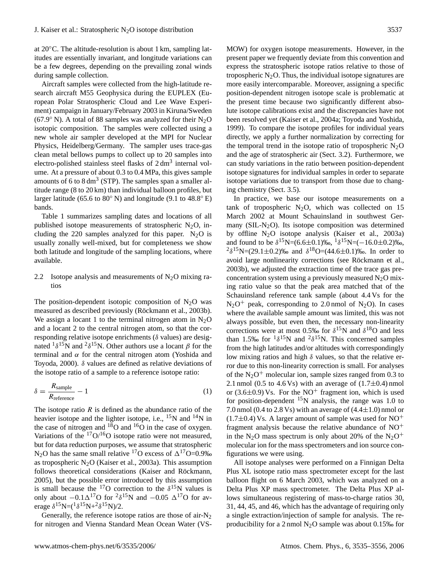at 20◦C. The altitude-resolution is about 1 km, sampling latitudes are essentially invariant, and longitude variations can be a few degrees, depending on the prevailing zonal winds during sample collection.

Aircraft samples were collected from the high-latitude research aircraft M55 Geophysica during the EUPLEX (European Polar Stratospheric Cloud and Lee Wave Experiment) campaign in January/February 2003 in Kiruna/Sweden (67.9 $\degree$  N). A total of 88 samples was analyzed for their N<sub>2</sub>O isotopic composition. The samples were collected using a new whole air sampler developed at the MPI for Nuclear Physics, Heidelberg/Germany. The sampler uses trace-gas clean metal bellows pumps to collect up to 20 samples into electro-polished stainless steel flasks of  $2 \text{ dm}^3$  internal volume. At a pressure of about 0.3 to 0.4 MPa, this gives sample amounts of 6 to 8 dm<sup>3</sup> (STP). The samples span a smaller altitude range (8 to 20 km) than individual balloon profiles, but larger latitude (65.6 to  $80^{\circ}$  N) and longitude (9.1 to  $48.8^{\circ}$  E) bands.

Table 1 summarizes sampling dates and locations of all published isotope measurements of stratospheric  $N_2O$ , including the 220 samples analyzed for this paper.  $N_2O$  is usually zonally well-mixed, but for completeness we show both latitude and longitude of the sampling locations, where available.

# 2.2 Isotope analysis and measurements of  $N<sub>2</sub>O$  mixing ratios

The position-dependent isotopic composition of  $N_2O$  was measured as described previously (Röckmann et al., 2003b). We assign a locant 1 to the terminal nitrogen atom in  $N<sub>2</sub>O$ and a locant 2 to the central nitrogen atom, so that the corresponding relative isotope enrichments ( $\delta$  values) are designated  $1\delta^{15}$ N and  $2\delta^{15}$ N. Other authors use a locant β for the terminal and  $\alpha$  for the central nitrogen atom (Yoshida and Toyoda, 2000). δ values are defined as relative deviations of the isotope ratio of a sample to a reference isotope ratio:

$$
\delta = \frac{R_{\text{sample}}}{R_{\text{reference}}} - 1\tag{1}
$$

The isotope ratio  $R$  is defined as the abundance ratio of the heavier isotope and the lighter isotope, i.e.,  $^{15}N$  and  $^{14}N$  in the case of nitrogen and  $18$ O and  $16$ O in the case of oxygen. Variations of the  $17O/16O$  isotope ratio were not measured, but for data reduction purposes, we assume that stratospheric N<sub>2</sub>O has the same small relative <sup>17</sup>O excess of  $\Delta^{17}$ O=0.9‰ as tropospheric  $N_2O$  (Kaiser et al., 2003a). This assumption follows theoretical considerations (Kaiser and Röckmann, 2005), but the possible error introduced by this assumption is small because the <sup>17</sup>O correction to the  $\delta^{15}N$  values is only about  $-0.1\Delta^{17}$ O for <sup>2</sup>δ<sup>15</sup>N and  $-0.05$   $\Delta^{17}$ O for average  $\delta^{15}N = ({}^{1}\delta^{15}N + {}^{2}\delta^{15}N)/2$ .

Generally, the reference isotope ratios are those of air- $N_2$ for nitrogen and Vienna Standard Mean Ocean Water (VS- MOW) for oxygen isotope measurements. However, in the present paper we frequently deviate from this convention and express the stratospheric isotope ratios relative to those of tropospheric  $N_2O$ . Thus, the individual isotope signatures are more easily intercomparable. Moreover, assigning a specific position-dependent nitrogen isotope scale is problematic at the present time because two significantly different absolute isotope calibrations exist and the discrepancies have not been resolved yet (Kaiser et al., 2004a; Toyoda and Yoshida, 1999). To compare the isotope profiles for individual years directly, we apply a further normalization by correcting for the temporal trend in the isotope ratio of tropospheric  $N_2O$ and the age of stratospheric air (Sect. [3.2\)](#page-5-1). Furthermore, we can study variations in the ratio between position-dependent isotope signatures for individual samples in order to separate isotope variations due to transport from those due to changing chemistry (Sect. [3.5\)](#page-17-0).

In practice, we base our isotope measurements on a tank of tropospheric  $N_2O$ , which was collected on 15 March 2002 at Mount Schauinsland in southwest Germany (SIL-N<sub>2</sub>O). Its isotope composition was determined by offline N2O isotope analysis (Kaiser et al., 2003a) and found to be  $\delta^{15}N=(6.6\pm0.1)\%$ ,  ${}^{1}\delta^{15}N=(-16.0\pm0.2)\%$ , <sup>2</sup>δ<sup>15</sup>N=(29.1±0.2)‰ and δ<sup>18</sup>O=(44.6±0.1)‰. In order to avoid large nonlinearity corrections (see Röckmann et al., 2003b), we adjusted the extraction time of the trace gas preconcentration system using a previously measured  $N_2O$  mixing ratio value so that the peak area matched that of the Schauinsland reference tank sample (about 4.4 Vs for the  $N_2O^+$  peak, corresponding to 2.0 nmol of  $N_2O$ ). In cases where the available sample amount was limited, this was not always possible, but even then, the necessary non-linearity corrections were at most 0.5‰ for  $\delta^{15}N$  and  $\delta^{18}O$  and less than 1.5‰ for  $1\delta^{15}N$  and  $2\delta^{15}N$ . This concerned samples from the high latitudes and/or altitudes with correspondingly low mixing ratios and high  $\delta$  values, so that the relative error due to this non-linearity correction is small. For analyses of the  $N_2O^+$  molecular ion, sample sizes ranged from 0.3 to 2.1 nmol (0.5 to 4.6 Vs) with an average of  $(1.7\pm0.4)$  nmol or (3.6 $\pm$ 0.9) Vs. For the NO<sup>+</sup> fragment ion, which is used for position-dependent  $15N$  analysis, the range was 1.0 to 7.0 nmol (0.4 to 2.8 Vs) with an average of  $(4.4 \pm 1.0)$  nmol or  $(1.7\pm0.4)$  Vs. A larger amount of sample was used for NO<sup>+</sup> fragment analysis because the relative abundance of  $NO<sup>+</sup>$ in the N<sub>2</sub>O mass spectrum is only about 20% of the N<sub>2</sub>O<sup>+</sup> molecular ion for the mass spectrometers and ion source configurations we were using.

All isotope analyses were performed on a Finnigan Delta Plus XL isotope ratio mass spectrometer except for the last balloon flight on 6 March 2003, which was analyzed on a Delta Plus XP mass spectrometer. The Delta Plus XP allows simultaneous registering of mass-to-charge ratios 30, 31, 44, 45, and 46, which has the advantage of requiring only a single extraction/injection of sample for analysis. The reproducibility for a 2 nmol  $N_2O$  sample was about 0.15‰ for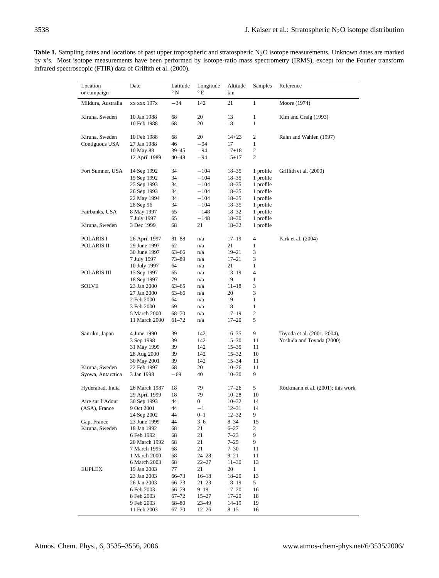Table 1. Sampling dates and locations of past upper tropospheric and stratospheric N<sub>2</sub>O isotope measurements. Unknown dates are marked by x's. Most isotope measurements have been performed by isotope-ratio mass spectrometry (IRMS), except for the Fourier transform infrared spectroscopic (FTIR) data of Griffith et al. (2000).

| Location<br>or campaign | Date                       | Latitude<br>$\rm ^{\circ}$ N | Longitude<br>°Ε | Altitude<br>km         | Samples          | Reference                         |
|-------------------------|----------------------------|------------------------------|-----------------|------------------------|------------------|-----------------------------------|
| Mildura, Australia      | xx xxx 197x                | $-34$                        | 142             | 21                     | $\mathbf{1}$     | Moore (1974)                      |
| Kiruna, Sweden          | 10 Jan 1988                | 68                           | 20              | 13                     | 1                | Kim and Craig (1993)              |
|                         | 10 Feb 1988                | 68                           | 20              | 18                     | $\mathbf{1}$     |                                   |
| Kiruna, Sweden          | 10 Feb 1988                | 68                           | 20              | $14 + 23$              | 2                | Rahn and Wahlen (1997)            |
| Contiguous USA          | 27 Jan 1988                | 46                           | -94             | 17                     | 1                |                                   |
|                         | 10 May 88                  | 39 - 45                      | -94             | $17 + 18$              | 2                |                                   |
|                         | 12 April 1989              | 40–48                        | -94             | $15 + 17$              | 2                |                                   |
| Fort Sumner, USA        | 14 Sep 1992                | 34                           | $-104$          | 18–35                  | 1 profile        | Griffith et al. (2000)            |
|                         | 15 Sep 1992                | 34                           | $-104$          | $18 - 35$              | 1 profile        |                                   |
|                         | 25 Sep 1993                | 34                           | $-104$          | $18 - 35$              | 1 profile        |                                   |
|                         | 26 Sep 1993                | 34                           | $-104$          | 18–35                  | 1 profile        |                                   |
|                         | 22 May 1994                | 34                           | $-104$          | 18–35                  | 1 profile        |                                   |
|                         | 28 Sep 96                  | 34                           | $-104$          | $18 - 35$              | 1 profile        |                                   |
| Fairbanks, USA          | 8 May 1997                 | 65                           | $-148$          | $18 - 32$              | 1 profile        |                                   |
|                         | 7 July 1997                | 65                           | $-148$          | $18 - 30$              | 1 profile        |                                   |
| Kiruna, Sweden          | 3 Dec 1999                 | 68                           | 21              | $18 - 32$              | 1 profile        |                                   |
| POLARIS I               | 26 April 1997              | $81 - 88$                    | n/a             | 17–19                  | 4                | Park et al. (2004)                |
| POLARIS II              | 29 June 1997               | 62                           | n/a             | 21                     | 1                |                                   |
|                         | 30 June 1997               | $63 - 66$                    | n/a             | $19 - 21$              | 3                |                                   |
|                         | 7 July 1997                | 73-89                        | n/a             | $17 - 21$              | 3                |                                   |
|                         | 10 July 1997               | 64                           | n/a             | 21                     | 1                |                                   |
| <b>POLARIS III</b>      | 15 Sep 1997                | 65                           | n/a             | $13 - 19$              | 4                |                                   |
|                         | 18 Sep 1997                | 79                           | n/a             | 19                     | 1                |                                   |
| <b>SOLVE</b>            | 23 Jan 2000<br>27 Jan 2000 | $63 - 65$<br>63–66           | n/a<br>n/a      | $11 - 18$<br>20        | 3<br>3           |                                   |
|                         | 2 Feb 2000                 | 64                           | n/a             | 19                     | $\mathbf{1}$     |                                   |
|                         | 3 Feb 2000                 | 69                           | n/a             | 18                     | $\mathbf{1}$     |                                   |
|                         | 5 March 2000               | 68-70                        | n/a             | 17–19                  | $\boldsymbol{2}$ |                                   |
|                         | 11 March 2000              | $61 - 72$                    | n/a             | $17 - 20$              | 5                |                                   |
| Sanriku, Japan          | 4 June 1990                | 39                           | 142             | $16 - 35$              | 9                | Toyoda et al. (2001, 2004),       |
|                         | 3 Sep 1998                 | 39                           | 142             | $15 - 30$              | 11               | Yoshida and Toyoda (2000)         |
|                         | 31 May 1999                | 39                           | 142             | $15 - 35$              | 11               |                                   |
|                         | 28 Aug 2000                | 39                           | 142             | $15 - 32$              | 10               |                                   |
|                         | 30 May 2001                | 39                           | 142             | $15 - 34$              | 11               |                                   |
| Kiruna, Sweden          | 22 Feb 1997                | 68                           | 20              | $10 - 26$              | 11               |                                   |
| Syowa, Antarctica       | 3 Jan 1998                 | $-69$                        | 40              | $10 - 30$              | 9                |                                   |
| Hyderabad, India        | 26 March 1987              | 18                           | 79              | $17 - 26$              | 5                | Röckmann et al. (2001); this work |
|                         | 29 April 1999              | 18                           | 79              | $10 - 28$              | 10               |                                   |
| Aire sur l'Adour        | 30 Sep 1993                | 44                           | 0               | $10 - 32$              | 14               |                                   |
| (ASA), France           | 9 Oct 2001                 | 44                           | $^{-1}$         | $12 - 31$              | 14               |                                   |
|                         | 24 Sep 2002                | 44                           | $_{0-1}$        | $12 - 32$              | 9                |                                   |
| Gap, France             | 23 June 1999               | 44                           | $3 - 6$         | $8 - 34$               | 15               |                                   |
| Kiruna, Sweden          | 18 Jan 1992                | 68                           | 21              | $6 - 27$               | 2                |                                   |
|                         | 6 Feb 1992                 | 68                           | 21              | $7 - 23$               | 9                |                                   |
|                         | 20 March 1992              | 68                           | 21              | $7 - 25$               | 9                |                                   |
|                         | 7 March 1995               | 68                           | 21              | $7 - 30$               | 11               |                                   |
|                         | 1 March 2000               | 68                           | $24 - 28$       | $9 - 21$               | 11               |                                   |
|                         | 6 March 2003               | 68                           | $22 - 27$       | $11 - 30$              | 13               |                                   |
| <b>EUPLEX</b>           | 19 Jan 2003                | 77                           | 21<br>$16 - 18$ | 20                     | $\mathbf{1}$     |                                   |
|                         | 23 Jan 2003<br>26 Jan 2003 | 66-73<br>66-73               | $21 - 23$       | $18 - 20$<br>$18 - 19$ | 13<br>5          |                                   |
|                         | 6 Feb 2003                 | 66–79                        | $9 - 19$        | $17 - 20$              | 16               |                                   |
|                         | 8 Feb 2003                 | $67 - 72$                    | 15–27           | $17 - 20$              | 18               |                                   |
|                         | 9 Feb 2003                 | 68–80                        | 23–49           | 14–19                  | 19               |                                   |
|                         | 11 Feb 2003                | $67 - 70$                    | $12 - 26$       | $8 - 15$               | 16               |                                   |
|                         |                            |                              |                 |                        |                  |                                   |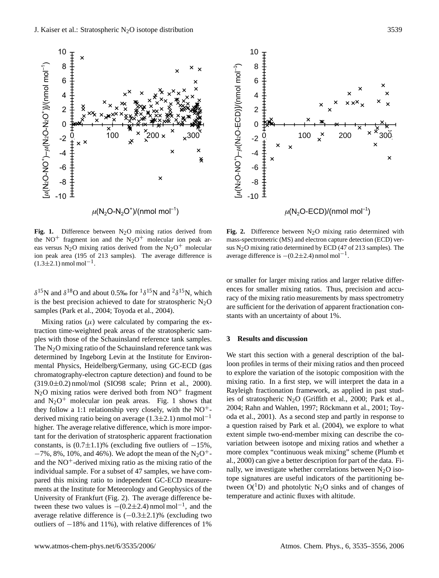

**Fig. 1.** Difference between  $N_2O$  mixing ratios derived from the NO<sup>+</sup> fragment ion and the  $N_2O^+$  molecular ion peak areas versus N<sub>2</sub>O mixing ratios derived from the N<sub>2</sub>O<sup>+</sup> molecular ion peak area (195 of 213 samples). The average difference is  $(1.3 \pm 2.1)$  nmol mol<sup>-1</sup>.

 $δ<sup>15</sup>N$  and  $δ<sup>18</sup>O$  and about 0.5‰ for  $<sup>1</sup>δ<sup>15</sup>N$  and  $<sup>2</sup>δ<sup>15</sup>N$ , which</sup></sup> is the best precision achieved to date for stratospheric  $N_2O$ samples (Park et al., 2004; Toyoda et al., 2004).

Mixing ratios  $(\mu)$  were calculated by comparing the extraction time-weighted peak areas of the stratospheric samples with those of the Schauinsland reference tank samples. The  $N<sub>2</sub>O$  mixing ratio of the Schauinsland reference tank was determined by Ingeborg Levin at the Institute for Environmental Physics, Heidelberg/Germany, using GC-ECD (gas chromatography-electron capture detection) and found to be (319.0±0.2) nmol/mol (SIO98 scale; Prinn et al., 2000).  $N_2O$  mixing ratios were derived both from  $NO^+$  fragment and  $N_2O^+$  molecular ion peak areas. Fig. 1 shows that they follow a 1:1 relationship very closely, with the  $NO^+$ derived mixing ratio being on average  $(1.3\pm 2.1)$  nmol mol<sup>-1</sup> higher. The average relative difference, which is more important for the derivation of stratospheric apparent fractionation constants, is  $(0.7\pm1.1)$ % (excluding five outliers of  $-15$ %,  $-7\%$ , 8%, 10%, and 46%). We adopt the mean of the N<sub>2</sub>O<sup>+</sup>and the  $NO<sup>+</sup>$ -derived mixing ratio as the mixing ratio of the individual sample. For a subset of 47 samples, we have compared this mixing ratio to independent GC-ECD measurements at the Institute for Meteorology and Geophysics of the University of Frankfurt (Fig. 2). The average difference between these two values is  $-(0.2\pm 2.4)$  nmol mol<sup>-1</sup>, and the average relative difference is  $(-0.3\pm 2.1)$ % (excluding two outliers of −18% and 11%), with relative differences of 1%



Fig. 2. Difference between N<sub>2</sub>O mixing ratio determined with mass-spectrometric (MS) and electron capture detection (ECD) versus  $N<sub>2</sub>O$  mixing ratio determined by ECD (47 of 213 samples). The average difference is  $-(0.2\pm 2.4)$  nmol mol<sup>-1</sup>.

or smaller for larger mixing ratios and larger relative differences for smaller mixing ratios. Thus, precision and accuracy of the mixing ratio measurements by mass spectrometry are sufficient for the derivation of apparent fractionation constants with an uncertainty of about 1%.

#### **3 Results and discussion**

We start this section with a general description of the balloon profiles in terms of their mixing ratios and then proceed to explore the variation of the isotopic composition with the mixing ratio. In a first step, we will interpret the data in a Rayleigh fractionation framework, as applied in past studies of stratospheric  $N_2O$  (Griffith et al., 2000; Park et al., 2004; Rahn and Wahlen, 1997; Röckmann et al., 2001; Toyoda et al., 2001). As a second step and partly in response to a question raised by Park et al. (2004), we explore to what extent simple two-end-member mixing can describe the covariation between isotope and mixing ratios and whether a more complex "continuous weak mixing" scheme (Plumb et al., 2000) can give a better description for part of the data. Finally, we investigate whether correlations between  $N_2O$  isotope signatures are useful indicators of the partitioning between  $O(^1D)$  and photolytic N<sub>2</sub>O sinks and of changes of temperature and actinic fluxes with altitude.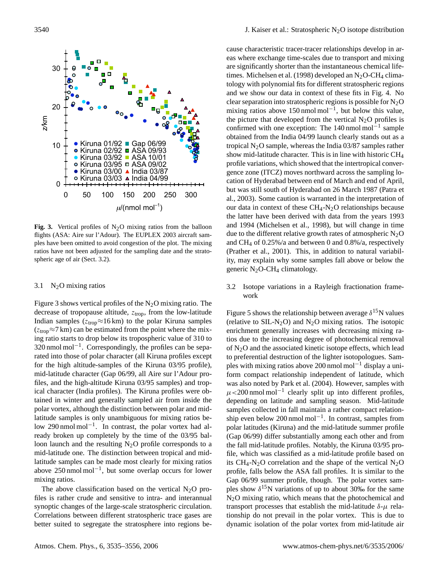

**Fig. 3.** Vertical profiles of  $N_2O$  mixing ratios from the balloon flights (ASA: Aire sur l'Adour). The EUPLEX 2003 aircraft samples have been omitted to avoid congestion of the plot. The mixing ratios have not been adjusted for the sampling date and the stratospheric age of air (Sect. [3.2\)](#page-5-1).

## <span id="page-5-0"></span>3.1  $N_2$ O mixing ratios

Figure 3 shows vertical profiles of the  $N_2O$  mixing ratio. The decrease of tropopause altitude,  $z_{\text{trop}}$ , from the low-latitude Indian samples ( $z_{\text{trop}} \approx 16 \text{ km}$ ) to the polar Kiruna samples  $(z_{\text{trop}} \approx 7 \text{ km})$  can be estimated from the point where the mixing ratio starts to drop below its tropospheric value of 310 to 320 nmol mol<sup>-1</sup>. Correspondingly, the profiles can be separated into those of polar character (all Kiruna profiles except for the high altitude-samples of the Kiruna 03/95 profile), mid-latitude character (Gap 06/99, all Aire sur l'Adour profiles, and the high-altitude Kiruna 03/95 samples) and tropical character (India profiles). The Kiruna profiles were obtained in winter and generally sampled air from inside the polar vortex, although the distinction between polar and midlatitude samples is only unambiguous for mixing ratios below 290 nmol mol<sup>-1</sup>. In contrast, the polar vortex had already broken up completely by the time of the 03/95 balloon launch and the resulting  $N_2O$  profile corresponds to a mid-latitude one. The distinction between tropical and midlatitude samples can be made most clearly for mixing ratios above 250 nmol mol−<sup>1</sup> , but some overlap occurs for lower mixing ratios.

The above classification based on the vertical  $N_2O$  profiles is rather crude and sensitive to intra- and interannual synoptic changes of the large-scale stratospheric circulation. Correlations between different stratospheric trace gases are better suited to segregate the stratosphere into regions because characteristic tracer-tracer relationships develop in areas where exchange time-scales due to transport and mixing are significantly shorter than the instantaneous chemical lifetimes. Michelsen et al. (1998) developed an  $N_2O-CH_4$  climatology with polynomial fits for different stratospheric regions and we show our data in context of these fits in Fig. 4. No clear separation into stratospheric regions is possible for  $N_2O$ mixing ratios above 150 nmol mol<sup>-1</sup>, but below this value, the picture that developed from the vertical  $N_2O$  profiles is confirmed with one exception: The  $140$  nmol mol<sup>-1</sup> sample obtained from the India 04/99 launch clearly stands out as a tropical  $N_2O$  sample, whereas the India 03/87 samples rather show mid-latitude character. This is in line with historic CH<sup>4</sup> profile variations, which showed that the intertropical convergence zone (ITCZ) moves northward across the sampling location of Hyderabad between end of March and end of April, but was still south of Hyderabad on 26 March 1987 (Patra et al., 2003). Some caution is warranted in the interpretation of our data in context of these  $CH_4$ -N<sub>2</sub>O relationships because the latter have been derived with data from the years 1993 and 1994 (Michelsen et al., 1998), but will change in time due to the different relative growth rates of atmospheric  $N_2O$ and CH<sup>4</sup> of 0.25%/a and between 0 and 0.8%/a, respectively (Prather et al., 2001). This, in addition to natural variability, may explain why some samples fall above or below the generic  $N_2O$ -CH<sub>4</sub> climatology.

# <span id="page-5-1"></span>3.2 Isotope variations in a Rayleigh fractionation framework

Figure 5 shows the relationship between average  $\delta^{15}$ N values (relative to  $SL-N<sub>2</sub>O$ ) and  $N<sub>2</sub>O$  mixing ratios. The isotopic enrichment generally increases with decreasing mixing ratios due to the increasing degree of photochemical removal of  $N<sub>2</sub>O$  and the associated kinetic isotope effects, which lead to preferential destruction of the lighter isotopologues. Samples with mixing ratios above 200 nmol mol<sup>-1</sup> display a uniform compact relationship independent of latitude, which was also noted by Park et al. (2004). However, samples with  $\mu$ <200 nmol mol<sup>-1</sup> clearly split up into different profiles, depending on latitude and sampling season. Mid-latitude samples collected in fall maintain a rather compact relationship even below 200 nmol mol−<sup>1</sup> . In contrast, samples from polar latitudes (Kiruna) and the mid-latitude summer profile (Gap 06/99) differ substantially among each other and from the fall mid-latitude profiles. Notably, the Kiruna 03/95 profile, which was classified as a mid-latitude profile based on its CH<sub>4</sub>-N<sub>2</sub>O correlation and the shape of the vertical N<sub>2</sub>O profile, falls below the ASA fall profiles. It is similar to the Gap 06/99 summer profile, though. The polar vortex samples show  $\delta^{15}$ N variations of up to about 30‰ for the same N2O mixing ratio, which means that the photochemical and transport processes that establish the mid-latitude  $\delta-\mu$  relationship do not prevail in the polar vortex. This is due to dynamic isolation of the polar vortex from mid-latitude air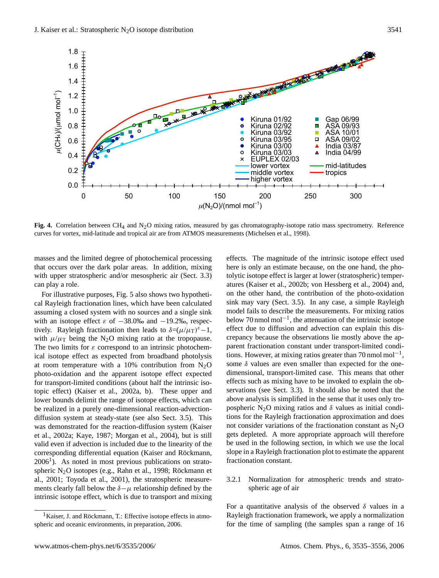

**Fig. 4.** Correlation between CH<sub>4</sub> and N<sub>2</sub>O mixing ratios, measured by gas chromatography-isotope ratio mass spectrometry. Reference curves for vortex, mid-latitude and tropical air are from ATMOS measurements (Michelsen et al., 1998).

masses and the limited degree of photochemical processing that occurs over the dark polar areas. In addition, mixing with upper stratospheric and/or mesospheric air (Sect. [3.3\)](#page-12-0) can play a role.

For illustrative purposes, Fig. 5 also shows two hypothetical Rayleigh fractionation lines, which have been calculated assuming a closed system with no sources and a single sink with an isotope effect  $\varepsilon$  of  $-38.0\%$  and  $-19.2\%$ , respectively. Rayleigh fractionation then leads to  $\delta = (\mu/\mu) \epsilon - 1$ , with  $\mu/\mu$ <sub>T</sub> being the N<sub>2</sub>O mixing ratio at the tropopause. The two limits for  $\varepsilon$  correspond to an intrinsic photochemical isotope effect as expected from broadband photolysis at room temperature with a 10% contribution from  $N_2O$ photo-oxidation and the apparent isotope effect expected for transport-limited conditions (about half the intrinsic isotopic effect) (Kaiser et al., 2002a, b). These upper and lower bounds delimit the range of isotope effects, which can be realized in a purely one-dimensional reaction-advectiondiffusion system at steady-state (see also Sect. [3.5\)](#page-17-0). This was demonstrated for the reaction-diffusion system (Kaiser et al., 2002a; Kaye, 1987; Morgan et al., 2004), but is still valid even if advection is included due to the linearity of the corresponding differential equation (Kaiser and Röckmann,  $2006<sup>1</sup>$  $2006<sup>1</sup>$  $2006<sup>1</sup>$ ). As noted in most previous publications on stratospheric  $N_2O$  isotopes (e.g., Rahn et al., 1998; Röckmann et al., 2001; Toyoda et al., 2001), the stratospheric measurements clearly fall below the  $\delta-\mu$  relationship defined by the intrinsic isotope effect, which is due to transport and mixing effects. The magnitude of the intrinsic isotope effect used here is only an estimate because, on the one hand, the photolytic isotope effect is larger at lower (stratospheric) temperatures (Kaiser et al., 2002b; von Hessberg et al., 2004) and, on the other hand, the contribution of the photo-oxidation sink may vary (Sect. [3.5\)](#page-17-0). In any case, a simple Rayleigh model fails to describe the measurements. For mixing ratios below 70 nmol mol−<sup>1</sup> , the attenuation of the intrinsic isotope effect due to diffusion and advection can explain this discrepancy because the observations lie mostly above the apparent fractionation constant under transport-limited conditions. However, at mixing ratios greater than 70 nmol mol<sup>-1</sup>, some  $\delta$  values are even smaller than expected for the onedimensional, transport-limited case. This means that other effects such as mixing have to be invoked to explain the observations (see Sect. [3.3\)](#page-12-0). It should also be noted that the above analysis is simplified in the sense that it uses only tropospheric N<sub>2</sub>O mixing ratios and  $\delta$  values as initial conditions for the Rayleigh fractionation approximation and does not consider variations of the fractionation constant as  $N_2O$ gets depleted. A more appropriate approach will therefore be used in the following section, in which we use the local slope in a Rayleigh fractionation plot to estimate the apparent fractionation constant.

<span id="page-6-1"></span>3.2.1 Normalization for atmospheric trends and stratospheric age of air

For a quantitative analysis of the observed  $\delta$  values in a Rayleigh fractionation framework, we apply a normalization for the time of sampling (the samples span a range of 16

<span id="page-6-0"></span> $<sup>1</sup>$ Kaiser, J. and Röckmann, T.: Effective isotope effects in atmo-</sup> spheric and oceanic environments, in preparation, 2006.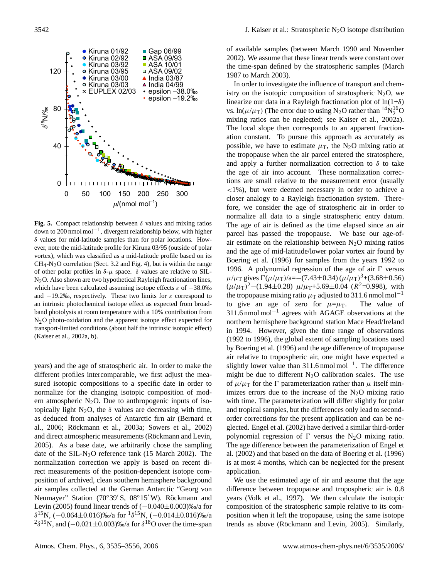

**Fig. 5.** Compact relationship between  $\delta$  values and mixing ratios down to 200 nmol mol−<sup>1</sup> , divergent relationship below, with higher δ values for mid-latitude samples than for polar locations. However, note the mid-latitude profile for Kiruna 03/95 (outside of polar vortex), which was classified as a mid-latitude profile based on its  $CH_4$ -N<sub>2</sub>O correlation (Sect. [3.2](#page-5-1) and Fig. 4), but is within the range of other polar profiles in  $\delta-\mu$  space.  $\delta$  values are relative to SIL-N2O. Also shown are two hypothetical Rayleigh fractionation lines, which have been calculated assuming isotope effects  $\varepsilon$  of  $-38.0\%$ and  $-19.2\%$ , respectively. These two limits for  $\varepsilon$  correspond to an intrinsic photochemical isotope effect as expected from broadband photolysis at room temperature with a 10% contribution from N2O photo-oxidation and the apparent isotope effect expected for transport-limited conditions (about half the intrinsic isotopic effect) (Kaiser et al., 2002a, b).

years) and the age of stratospheric air. In order to make the different profiles intercomparable, we first adjust the measured isotopic compositions to a specific date in order to normalize for the changing isotopic composition of modern atmospheric  $N_2O$ . Due to anthropogenic inputs of isotopically light N<sub>2</sub>O, the  $\delta$  values are decreasing with time, as deduced from analyses of Antarctic firn air (Bernard et al., 2006; Röckmann et al., 2003a; Sowers et al., 2002) and direct atmospheric measurements (Röckmann and Levin, 2005). As a base date, we arbitrarily chose the sampling date of the SIL-N<sub>2</sub>O reference tank  $(15 \text{ March } 2002)$ . The normalization correction we apply is based on recent direct measurements of the position-dependent isotope composition of archived, clean southern hemisphere background air samples collected at the German Antarctic "Georg von Neumayer" Station (70°39' S, 08°15' W). Röckmann and Levin (2005) found linear trends of (−0.040±0.003)‰/a for  $\delta^{15}$ N, (-0.064±0.016)‰/a for  $1\delta^{15}$ N, (-0.014±0.016)‰/a <sup>2</sup> $\delta$ <sup>15</sup>N, and (-0.021±0.003)‰/a for  $\delta$ <sup>18</sup>O over the time-span

of available samples (between March 1990 and November 2002). We assume that these linear trends were constant over the time-span defined by the stratospheric samples (March 1987 to March 2003).

In order to investigate the influence of transport and chemistry on the isotopic composition of stratospheric  $N_2O$ , we linearize our data in a Rayleigh fractionation plot of  $ln(1+\delta)$ vs.  $\ln(\mu/\mu_T)$  (The error due to using N<sub>2</sub>O rather than <sup>14</sup>N<sub>2</sub><sup>6</sup>O mixing ratios can be neglected; see Kaiser et al., 2002a). The local slope then corresponds to an apparent fractionation constant. To pursue this approach as accurately as possible, we have to estimate  $\mu$ <sub>T</sub>, the N<sub>2</sub>O mixing ratio at the tropopause when the air parcel entered the stratosphere, and apply a further normalization correction to  $\delta$  to take the age of air into account. These normalization corrections are small relative to the measurement error (usually  $\langle 1\% \rangle$ , but were deemed necessary in order to achieve a closer analogy to a Rayleigh fractionation system. Therefore, we consider the age of stratospheric air in order to normalize all data to a single stratospheric entry datum. The age of air is defined as the time elapsed since an air parcel has passed the tropopause. We base our age-ofair estimate on the relationship between  $N<sub>2</sub>O$  mixing ratios and the age of mid-latitude/lower polar vortex air found by Boering et al. (1996) for samples from the years 1992 to 1996. A polynomial regression of the age of air  $\Gamma$  versus  $\mu/\mu$ <sub>T</sub> gives  $\Gamma(\mu/\mu)$ /a=–(7.43±0.34) ( $\mu/\mu$ <sub>T</sub>)<sup>3</sup>+(3.68±0.56)  $(\mu/\mu_{\rm T})^2$  – (1.94±0.28)  $\mu/\mu_{\rm T}$ +5.69±0.04 ( $R^2$ =0.998), with the tropopause mixing ratio  $\mu$ <sub>T</sub> adjusted to 311.6 nmol mol<sup>-1</sup> to give an age of zero for  $\mu = \mu_T$ . The value of 311.6 nmol mol−<sup>1</sup> agrees with AGAGE observations at the northern hemisphere background station Mace Head/Ireland in 1994. However, given the time range of observations (1992 to 1996), the global extent of sampling locations used by Boering et al. (1996) and the age difference of tropopause air relative to tropospheric air, one might have expected a slightly lower value than 311.6 nmol mol<sup>-1</sup>. The difference might be due to different  $N<sub>2</sub>O$  calibration scales. The use of  $\mu/\mu$ <sub>T</sub> for the  $\Gamma$  parameterization rather than  $\mu$  itself minimizes errors due to the increase of the  $N_2O$  mixing ratio with time. The parameterization will differ slightly for polar and tropical samples, but the differences only lead to secondorder corrections for the present application and can be neglected. Engel et al. (2002) have derived a similar third-order polynomial regression of  $\Gamma$  versus the N<sub>2</sub>O mixing ratio. The age difference between the parameterization of Engel et al. (2002) and that based on the data of Boering et al. (1996) is at most 4 months, which can be neglected for the present application.

We use the estimated age of air and assume that the age difference between tropopause and tropospheric air is 0.8 years (Volk et al., 1997). We then calculate the isotopic composition of the stratospheric sample relative to its composition when it left the tropopause, using the same isotope trends as above (Röckmann and Levin, 2005). Similarly,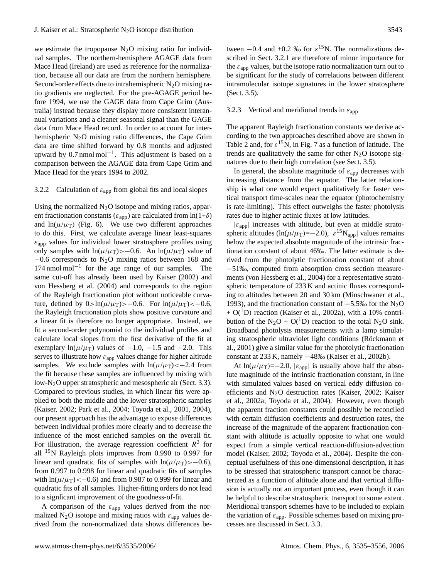we estimate the tropopause  $N_2O$  mixing ratio for individual samples. The northern-hemisphere AGAGE data from Mace Head (Ireland) are used as reference for the normalization, because all our data are from the northern hemisphere. Second-order effects due to intrahemispheric  $N_2O$  mixing ratio gradients are neglected. For the pre-AGAGE period before 1994, we use the GAGE data from Cape Grim (Australia) instead because they display more consistent interannual variations and a cleaner seasonal signal than the GAGE data from Mace Head record. In order to account for interhemispheric  $N_2O$  mixing ratio differences, the Cape Grim data are time shifted forward by 0.8 months and adjusted upward by 0.7 nmol mol−<sup>1</sup> . This adjustment is based on a comparison between the AGAGE data from Cape Grim and Mace Head for the years 1994 to 2002.

## <span id="page-8-0"></span>3.2.2 Calculation of  $\varepsilon_{app}$  from global fits and local slopes

Using the normalized  $N_2O$  isotope and mixing ratios, apparent fractionation constants ( $\varepsilon_{app}$ ) are calculated from  $\ln(1+\delta)$ and  $ln(\mu/\mu)$  (Fig. 6). We use two different approaches to do this. First, we calculate average linear least-squares  $\varepsilon_{\text{app}}$  values for individual lower stratosphere profiles using only samples with ln( $\mu/\mu$ T)>−0.6. An ln( $\mu/\mu$ T) value of −0.6 corresponds to N2O mixing ratios between 168 and 174 nmol mol−<sup>1</sup> for the age range of our samples. The same cut-off has already been used by Kaiser (2002) and von Hessberg et al. (2004) and corresponds to the region of the Rayleigh fractionation plot without noticeable curvature, defined by  $0>ln(\mu/\mu_T)>-0.6$ . For  $ln(\mu/\mu_T)<-0.6$ , the Rayleigh fractionation plots show positive curvature and a linear fit is therefore no longer appropriate. Instead, we fit a second-order polynomial to the individual profiles and calculate local slopes from the first derivative of the fit at exemplary ln( $\mu/\mu$ <sub>T</sub>) values of -1.0, -1.5 and -2.0. This serves to illustrate how  $\varepsilon_{app}$  values change for higher altitude samples. We exclude samples with  $ln(\mu/\mu) < -2.4$  from the fit because these samples are influenced by mixing with low-N<sub>2</sub>O upper stratospheric and mesospheric air (Sect. [3.3\)](#page-12-0). Compared to previous studies, in which linear fits were applied to both the middle and the lower stratospheric samples (Kaiser, 2002; Park et al., 2004; Toyoda et al., 2001, 2004), our present approach has the advantage to expose differences between individual profiles more clearly and to decrease the influence of the most enriched samples on the overall fit. For illustration, the average regression coefficient  $R^2$  for all <sup>15</sup>N Rayleigh plots improves from 0.990 to 0.997 for linear and quadratic fits of samples with  $ln(\mu/\mu) > -0.6$ , from 0.997 to 0.998 for linear and quadratic fits of samples with  $\ln(\mu/\mu) < -0.6$  and from 0.987 to 0.999 for linear and quadratic fits of all samples. Higher-fitting orders do not lead to a signficant improvement of the goodness-of-fit.

A comparison of the  $\varepsilon_{app}$  values derived from the normalized N<sub>2</sub>O isotope and mixing ratios with  $\varepsilon_{\text{app}}$  values derived from the non-normalized data shows differences be-

tween  $-0.4$  and  $+0.2$  ‰ for  $\varepsilon^{15}$ N. The normalizations described in Sect. [3.2.1](#page-6-1) are therefore of minor importance for the  $\varepsilon_{app}$  values, but the isotope ratio normalization turn out to be significant for the study of correlations between different intramolecular isotope signatures in the lower stratosphere (Sect. [3.5\)](#page-17-0).

## <span id="page-8-1"></span>3.2.3 Vertical and meridional trends in  $\varepsilon_{app}$

The apparent Rayleigh fractionation constants we derive according to the two approaches described above are shown in Table 2 and, for  $\varepsilon^{15}$ N, in Fig. 7 as a function of latitude. The trends are qualitatively the same for other  $N_2O$  isotope signatures due to their high correlation (see Sect. [3.5\)](#page-17-0).

In general, the absolute magnitude of  $\varepsilon_{app}$  decreases with increasing distance from the equator. The latter relationship is what one would expect qualitatively for faster vertical transport time-scales near the equator (photochemistry is rate-limiting). This effect outweighs the faster photolysis rates due to higher actinic fluxes at low latitudes.

 $|\varepsilon_{\text{app}}|$  increases with altitude, but even at middle stratospheric altitudes (ln( $\mu/\mu$ <sub>T</sub>)=-2.0),  $|\varepsilon^{15}N_{app}|$  values remains below the expected absolute magnitude of the intrinsic fractionation constant of about 46‰. The latter estimate is derived from the photolytic fractionation constant of about −51‰, computed from absorption cross section measurements (von Hessberg et al., 2004) for a representative stratospheric temperature of 233 K and actinic fluxes corresponding to altitudes between 20 and 30 km (Minschwaner et al., 1993), and the fractionation constant of −5.5‰ for the N2O  $+ O(^1D)$  reaction (Kaiser et al., 2002a), with a 10% contribution of the N<sub>2</sub>O + O(<sup>1</sup>D) reaction to the total N<sub>2</sub>O sink. Broadband photolysis measurements with a lamp simulating stratospheric ultraviolet light conditions (Röckmann et al., 2001) give a similar value for the photolytic fractionation constant at 233 K, namely −48‰ (Kaiser et al., 2002b).

At  $ln(\mu/\mu)=-2.0$ ,  $|\varepsilon_{app}|$  is usually above half the absolute magnitude of the intrinsic fractionation constant, in line with simulated values based on vertical eddy diffusion coefficients and N2O destruction rates (Kaiser, 2002; Kaiser et al., 2002a; Toyoda et al., 2004). However, even though the apparent fraction constants could possibly be reconciled with certain diffusion coefficients and destruction rates, the increase of the magnitude of the apparent fractionation constant with altitude is actually opposite to what one would expect from a simple vertical reaction-diffusion-advection model (Kaiser, 2002; Toyoda et al., 2004). Despite the conceptual usefulness of this one-dimensional description, it has to be stressed that stratospheric transport cannot be characterized as a function of altitude alone and that vertical diffusion is actually not an important process, even though it can be helpful to describe stratospheric transport to some extent. Meridional transport schemes have to be included to explain the variation of  $\varepsilon_{\text{app}}$ . Possible schemes based on mixing processes are discussed in Sect. [3.3.](#page-12-0)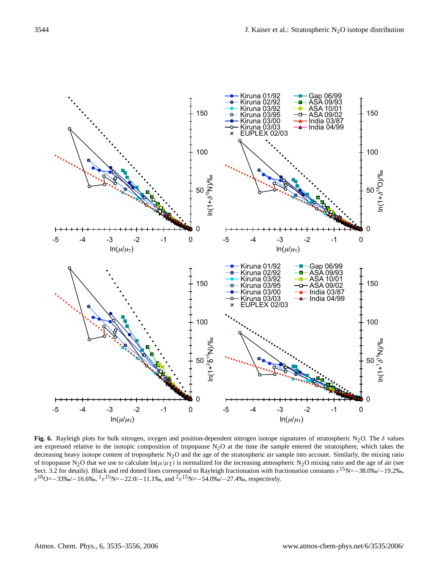

**Fig. 6.** Rayleigh plots for bulk nitrogen, oxygen and position-dependent nitrogen isotope signatures of stratospheric N<sub>2</sub>O. The  $\delta$  values are expressed relative to the isotopic composition of tropopause  $N<sub>2</sub>O$  at the time the sample entered the stratosphere, which takes the decreasing heavy isotope content of tropospheric N<sub>2</sub>O and the age of the stratospheric air sample into account. Similarly, the mixing ratio of tropopause N<sub>2</sub>O that we use to calculate  $\ln(\mu/\mu_T)$  is normalized for the increasing atmospheric N<sub>2</sub>O mixing ratio and the age of air (see Sect. [3.2](#page-5-1) for details). Black and red dotted lines correspond to Rayleigh fractionation with fractionation constants  $\varepsilon^{15}N = -38.0\% - 19.2\%$ ,  $\varepsilon^{18}$ O=−33‰/−16.6‰,  ${}^{1}\varepsilon^{15}$ N=−22.0/−11.1‰, and  ${}^{2}\varepsilon^{15}$ N=−54.0‰/−27.4‰, respectively.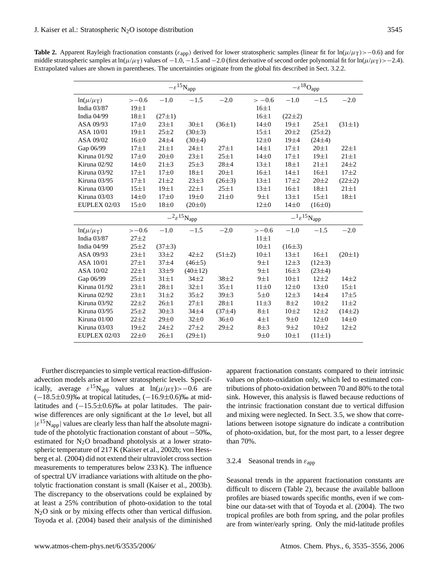**Table 2.** Apparent Rayleigh fractionation constants ( $\varepsilon_{app}$ ) derived for lower stratospheric samples (linear fit for ln( $\mu/\mu_T$ )>−0.6) and for middle stratospheric samples at ln( $\mu/\mu_T$ ) values of  $-1.0, -1.5$  and  $-2.0$  (first derivative of second order polynomial fit for ln( $\mu/\mu_T$ )>-2.4). Extrapolated values are shown in parentheses. The uncertainties originate from the global fits described in Sect. [3.2.2.](#page-8-0)

|                     |            |              | $-\varepsilon^{15}$ Napp     |              | $-\varepsilon^{18}{\rm O}_{\rm app}$ |             |                                  |              |  |  |  |
|---------------------|------------|--------------|------------------------------|--------------|--------------------------------------|-------------|----------------------------------|--------------|--|--|--|
| $ln(\mu/\mu_T)$     | $>-0.6$    | $-1.0$       | $-1.5$                       | $-2.0$       | $>-0.6$                              | $-1.0$      | $-1.5$                           | $-2.0$       |  |  |  |
| India 03/87         | $19\pm1$   |              |                              |              | $16\pm1$                             |             |                                  |              |  |  |  |
| India 04/99         | $18\pm1$   | $(27 \pm 1)$ |                              |              | $16\pm1$                             | $(22\pm 2)$ |                                  |              |  |  |  |
| ASA 09/93           | $17\pm0$   | $23 + 1$     | $30\pm1$                     | $(36 \pm 1)$ | $14\pm0$                             | $19\pm1$    | $25 \pm 1$                       | $(31 \pm 1)$ |  |  |  |
| ASA 10/01           | $19\pm1$   | $25 + 2$     | $(30\pm3)$                   |              | $15\pm1$                             | $20 + 2$    | $(25 \pm 2)$                     |              |  |  |  |
| ASA 09/02           | $16\pm0$   | $24 + 4$     | (30±4)                       |              | $12\pm0$                             | 19±4        | $(24\pm4)$                       |              |  |  |  |
| Gap 06/99           | $17 + 1$   | $21 + 1$     | $24 \pm 1$                   | $27 + 1$     | $14\pm1$                             | $17\pm1$    | $20 + 1$                         | $22 \pm 1$   |  |  |  |
| Kiruna 01/92        | $17\pm0$   | $20\pm 0$    | $23 + 1$                     | $25 + 1$     | $14\pm0$                             | $17\pm1$    | $19\pm1$                         | $21 \pm 1$   |  |  |  |
| Kiruna 02/92        | $14\pm0$   | $21 + 3$     | $25 + 3$                     | $28 + 4$     | $13 \pm 1$                           | $18\pm1$    | $21 \pm 1$                       | $24 + 2$     |  |  |  |
| Kiruna 03/92        | $17\pm1$   | $17\pm0$     | $18\pm1$                     | $20 \pm 1$   | $16 \pm 1$                           | $14\pm1$    | $16\pm1$                         | $17 + 2$     |  |  |  |
| Kiruna 03/95        | $17\pm1$   | $21 \pm 2$   | $23 + 3$                     | $(26\pm3)$   | $13\pm1$                             | $17\pm2$    | $20 \pm 2$                       | $(22\pm 2)$  |  |  |  |
| Kiruna 03/00        | $15\pm1$   | $19 \pm 1$   | $22 + 1$                     | $25 + 1$     | $13\pm1$                             | $16\pm1$    | $18\pm1$                         | $21 \pm 1$   |  |  |  |
| Kiruna 03/03        | $14\pm0$   | $17\pm0$     | 19±0                         | $21\pm0$     | 9±1                                  | $13\pm1$    | $15\pm1$                         | $18\pm1$     |  |  |  |
| <b>EUPLEX 02/03</b> | $15\pm0$   | $18\pm0$     | $(20 \pm 0)$                 |              | $12\pm0$                             | $14\pm0$    | $(16\pm0)$                       |              |  |  |  |
|                     |            |              |                              |              |                                      |             | $-{}^{1}\varepsilon^{15}N_{app}$ |              |  |  |  |
|                     |            |              | $-{}^2\varepsilon^{15}$ Napp |              |                                      |             |                                  |              |  |  |  |
| $ln(\mu/\mu_T)$     | $>-0.6$    | $-1.0$       | $-1.5$                       | $-2.0$       | $>-0.6$                              | $-1.0$      | $-1.5$                           | $-2.0$       |  |  |  |
| India 03/87         | $27 + 2$   |              |                              |              | $11 \pm 1$                           |             |                                  |              |  |  |  |
| India 04/99         | $25 + 2$   | $(37\pm3)$   |                              |              | $10\pm1$                             | $(16\pm3)$  |                                  |              |  |  |  |
| ASA 09/93           | $23 + 1$   | $33 + 2$     | $42 + 2$                     | $(51 \pm 2)$ | $10\pm1$                             | $13\pm1$    | $16\pm1$                         | $(20 \pm 1)$ |  |  |  |
| ASA 10/01           | $27 \pm 1$ | $37 + 4$     | $(46\pm5)$                   |              | 9±1                                  | $12\pm3$    | $(12\pm3)$                       |              |  |  |  |
| ASA 10/02           | $22 \pm 1$ | $33\pm9$     | $(40\pm12)$                  |              | 9±1                                  | $16\pm3$    | $(23\pm4)$                       |              |  |  |  |
| Gap 06/99           | $25 + 1$   | $31 \pm 1$   | $34 + 2$                     | $38 + 2$     | 9±1                                  | $10\pm1$    | $12 + 2$                         | $14\pm2$     |  |  |  |
| Kiruna 01/92        | $23 + 1$   | $28 + 1$     | $32\pm1$                     | $35 \pm 1$   | $11\pm0$                             | $12\pm0$    | $13\pm0$                         | $15\pm1$     |  |  |  |
| Kiruna 02/92        | $23 + 1$   | $31 + 2$     | $35 + 2$                     | $39 + 3$     | $5\pm0$                              | $12+3$      | $14\pm4$                         | $17 + 5$     |  |  |  |
| Kiruna 03/92        | $22 + 2$   | $26 + 1$     | $27 + 1$                     | $28 + 1$     | $11\pm3$                             | $8\pm2$     | $10\pm2$                         | $11\pm2$     |  |  |  |
| Kiruna 03/95        | $25 + 2$   | $30\pm3$     | $34 + 4$                     | $(37\pm4)$   | $8\pm1$                              | $10\pm2$    | $12 + 2$                         | $(14\pm2)$   |  |  |  |
| Kiruna 01/00        | $22 \pm 2$ | $29\pm0$     | $32\pm0$                     | $36\pm0$     | $4\pm1$                              | $9\pm0$     | $12\pm0$                         | $14\pm0$     |  |  |  |
| Kiruna 03/03        | $19\pm2$   | $24 + 2$     | $27 + 2$                     | $29 + 2$     | $8\pm3$                              | $9\pm2$     | $10\pm2$                         | $12 + 2$     |  |  |  |

Further discrepancies to simple vertical reaction-diffusionadvection models arise at lower stratospheric levels. Specifically, average  $\varepsilon^{15}N_{app}$  values at ln( $\mu/\mu_T$ )>-0.6 are  $(-18.5\pm0.9)$ ‰ at tropical latitudes,  $(-16.9\pm0.6)$ ‰ at midlatitudes and  $(-15.5\pm0.6)$ ‰ at polar latitudes. The pairwise differences are only significant at the  $1\sigma$  level, but all  $|\varepsilon^{15}N_{app}|$  values are clearly less than half the absolute magnitude of the photolytic fractionation constant of about −50‰, estimated for N2O broadband photolysis at a lower stratospheric temperature of 217 K (Kaiser et al., 2002b; von Hessberg et al. (2004) did not extend their ultraviolet cross section measurements to temperatures below 233 K). The influence of spectral UV irradiance variations with altitude on the photolytic fractionation constant is small (Kaiser et al., 2003b). The discrepancy to the observations could be explained by at least a 25% contribution of photo-oxidation to the total N2O sink or by mixing effects other than vertical diffusion. Toyoda et al. (2004) based their analysis of the diminished apparent fractionation constants compared to their intrinsic values on photo-oxidation only, which led to estimated contributions of photo-oxidation between 70 and 80% to the total sink. However, this analysis is flawed because reductions of the intrinsic fractionation constant due to vertical diffusion and mixing were neglected. In Sect. [3.5,](#page-17-0) we show that correlations between isotope signature do indicate a contribution of photo-oxidation, but, for the most part, to a lesser degree than 70%.

# 3.2.4 Seasonal trends in  $\varepsilon_{\text{app}}$

Seasonal trends in the apparent fractionation constants are difficult to discern (Table 2), because the available balloon profiles are biased towards specific months, even if we combine our data-set with that of Toyoda et al. (2004). The two tropical profiles are both from spring, and the polar profiles are from winter/early spring. Only the mid-latitude profiles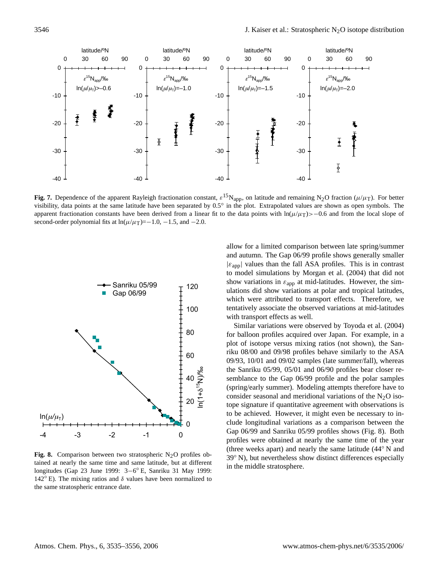

**Fig. 7.** Dependence of the apparent Rayleigh fractionation constant,  $\varepsilon^{15}N_{app}$ , on latitude and remaining N<sub>2</sub>O fraction ( $\mu/\mu_T$ ). For better visibility, data points at the same latitude have been separated by 0.5° in the plot. Extrapolated values are shown as open symbols. The apparent fractionation constants have been derived from a linear fit to the data points with  $\ln(\mu/\mu_T)$ >−0.6 and from the local slope of second-order polynomial fits at  $ln(\mu/\mu)=-1.0, -1.5,$  and  $-2.0$ .



**Fig. 8.** Comparison between two stratospheric  $N<sub>2</sub>O$  profiles obtained at nearly the same time and same latitude, but at different longitudes (Gap 23 June 1999: 3−6 ◦ E, Sanriku 31 May 1999: 142 $\degree$  E). The mixing ratios and  $\delta$  values have been normalized to the same stratospheric entrance date.

allow for a limited comparison between late spring/summer and autumn. The Gap 06/99 profile shows generally smaller  $|\varepsilon_{app}|$  values than the fall ASA profiles. This is in contrast to model simulations by Morgan et al. (2004) that did not show variations in  $\varepsilon_{app}$  at mid-latitudes. However, the simulations did show variations at polar and tropical latitudes, which were attributed to transport effects. Therefore, we tentatively associate the observed variations at mid-latitudes with transport effects as well.

Similar variations were observed by Toyoda et al. (2004) for balloon profiles acquired over Japan. For example, in a plot of isotope versus mixing ratios (not shown), the Sanriku 08/00 and 09/98 profiles behave similarly to the ASA 09/93, 10/01 and 09/02 samples (late summer/fall), whereas the Sanriku 05/99, 05/01 and 06/90 profiles bear closer resemblance to the Gap 06/99 profile and the polar samples (spring/early summer). Modeling attempts therefore have to consider seasonal and meridional variations of the  $N_2O$  isotope signature if quantitative agreement with observations is to be achieved. However, it might even be necessary to include longitudinal variations as a comparison between the Gap 06/99 and Sanriku 05/99 profiles shows (Fig. 8). Both profiles were obtained at nearly the same time of the year (three weeks apart) and nearly the same latitude (44◦ N and 39◦ N), but nevertheless show distinct differences especially in the middle stratosphere.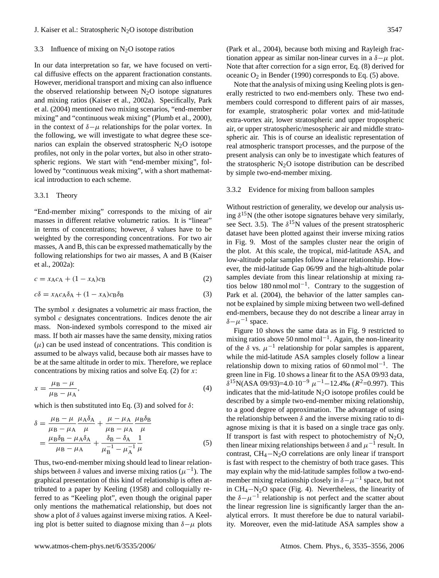## <span id="page-12-0"></span>3.3 Influence of mixing on  $N_2O$  isotope ratios

In our data interpretation so far, we have focused on vertical diffusive effects on the apparent fractionation constants. However, meridional transport and mixing can also influence the observed relationship between  $N_2O$  isotope signatures and mixing ratios (Kaiser et al., 2002a). Specifically, Park et al. (2004) mentioned two mixing scenarios, "end-member mixing" and "continuous weak mixing" (Plumb et al., 2000), in the context of  $\delta-\mu$  relationships for the polar vortex. In the following, we will investigate to what degree these scenarios can explain the observed stratospheric  $N_2O$  isotope profiles, not only in the polar vortex, but also in other stratospheric regions. We start with "end-member mixing", followed by "continuous weak mixing", with a short mathematical introduction to each scheme.

## 3.3.1 Theory

"End-member mixing" corresponds to the mixing of air masses in different relative volumetric ratios. It is "linear" in terms of concentrations; however,  $\delta$  values have to be weighted by the corresponding concentrations. For two air masses, A and B, this can be expressed mathematically by the following relationships for two air masses, A and B (Kaiser et al., 2002a):

<span id="page-12-1"></span>
$$
c = x_A c_A + (1 - x_A)c_B \tag{2}
$$

<span id="page-12-2"></span>
$$
c\delta = x_A c_A \delta_A + (1 - x_A)c_B \delta_B \tag{3}
$$

The symbol  $x$  designates a volumetric air mass fraction, the symbol  $c$  designates concentrations. Indices denote the air mass. Non-indexed symbols correspond to the mixed air mass. If both air masses have the same density, mixing ratios  $(\mu)$  can be used instead of concentrations. This condition is assumed to be always valid, because both air masses have to be at the same altitude in order to mix. Therefore, we replace concentrations by mixing ratios and solve Eq.  $(2)$  for x:

$$
x = \frac{\mu_B - \mu}{\mu_B - \mu_A},\tag{4}
$$

which is then substituted into Eq. [\(3\)](#page-12-2) and solved for  $\delta$ :

<span id="page-12-3"></span>
$$
\delta = \frac{\mu_{\rm B} - \mu}{\mu_{\rm B} - \mu_{\rm A}} \frac{\mu_{\rm A} \delta_{\rm A}}{\mu} + \frac{\mu - \mu_{\rm A}}{\mu_{\rm B} - \mu_{\rm A}} \frac{\mu_{\rm B} \delta_{\rm B}}{\mu}
$$

$$
= \frac{\mu_{\rm B} \delta_{\rm B} - \mu_{\rm A} \delta_{\rm A}}{\mu_{\rm B} - \mu_{\rm A}} + \frac{\delta_{\rm B} - \delta_{\rm A}}{\mu_{\rm B}^{-1} - \mu_{\rm A}^{-1}} \frac{1}{\mu} \tag{5}
$$

Thus, two-end-member mixing should lead to linear relationships between  $\delta$  values and inverse mixing ratios ( $\mu^{-1}$ ). The graphical presentation of this kind of relationship is often attributed to a paper by Keeling (1958) and colloquially referred to as "Keeling plot", even though the original paper only mentions the mathematical relationship, but does not show a plot of  $\delta$  values against inverse mixing ratios. A Keeling plot is better suited to diagnose mixing than  $\delta-\mu$  plots

Note that the analysis of mixing using Keeling plots is generally restricted to two end-members only. These two endmembers could correspond to different pairs of air masses, for example, stratospheric polar vortex and mid-latitude extra-vortex air, lower stratospheric and upper tropospheric air, or upper stratospheric/mesospheric air and middle stratospheric air. This is of course an idealistic representation of real atmospheric transport processes, and the purpose of the present analysis can only be to investigate which features of the stratospheric  $N_2O$  isotope distribution can be described by simple two-end-member mixing.

#### 3.3.2 Evidence for mixing from balloon samples

Without restriction of generality, we develop our analysis using  $\delta^{15}$ N (the other isotope signatures behave very similarly, see Sect. [3.5\)](#page-17-0). The  $\delta^{15}N$  values of the present stratospheric dataset have been plotted against their inverse mixing ratios in Fig. 9. Most of the samples cluster near the origin of the plot. At this scale, the tropical, mid-latitude ASA, and low-altitude polar samples follow a linear relationship. However, the mid-latitude Gap 06/99 and the high-altitude polar samples deviate from this linear relationship at mixing ratios below 180 nmol mol−<sup>1</sup> . Contrary to the suggestion of Park et al. (2004), the behavior of the latter samples cannot be explained by simple mixing between two well-defined end-members, because they do not describe a linear array in  $\delta-\mu^{-1}$  space.

Figure 10 shows the same data as in Fig. 9 restricted to mixing ratios above 50 nmol mol<sup>-1</sup>. Again, the non-linearity of the  $\delta$  vs.  $\mu^{-1}$  relationship for polar samples is apparent, while the mid-latitude ASA samples closely follow a linear relationship down to mixing ratios of 60 nmol mol<sup>-1</sup>. The green line in Fig. 10 shows a linear fit to the ASA 09/93 data,  $\delta^{15}N(ASA\ 09/93)=4.0\cdot10^{-9} \mu^{-1}-12.4\%$  ( $R^2=0.997$ ). This indicates that the mid-latitude  $N_2O$  isotope profiles could be described by a simple two-end-member mixing relationship, to a good degree of approximation. The advantage of using the relationship between  $\delta$  and the inverse mixing ratio to diagnose mixing is that it is based on a single trace gas only. If transport is fast with respect to photochemistry of  $N_2O$ , then linear mixing relationships between  $\delta$  and  $\mu^{-1}$  result. In contrast, CH4−N2O correlations are only linear if transport is fast with respect to the chemistry of both trace gases. This may explain why the mid-latitude samples follow a two-endmember mixing relationship closely in  $\delta - \mu^{-1}$  space, but not in CH4−N2O space (Fig. 4). Nevertheless, the linearity of the  $\delta - \mu^{-1}$  relationship is not perfect and the scatter about the linear regression line is significantly larger than the analytical errors. It must therefore be due to natural variability. Moreover, even the mid-latitude ASA samples show a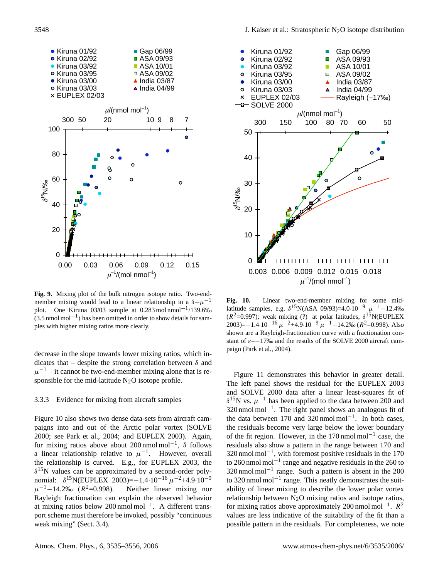

**Fig. 9.** Mixing plot of the bulk nitrogen isotope ratio. Two-endmember mixing would lead to a linear relationship in a  $\delta - \mu^{-1}$ plot. One Kiruna 03/03 sample at 0.283 mol nmol<sup>-1</sup>/139.6‰  $(3.5 \text{ nmol mol}^{-1})$  has been omitted in order to show details for samples with higher mixing ratios more clearly.

decrease in the slope towards lower mixing ratios, which indicates that – despite the strong correlation between  $\delta$  and  $\mu^{-1}$  – it cannot be two-end-member mixing alone that is responsible for the mid-latitude  $N_2O$  isotope profile.

# 3.3.3 Evidence for mixing from aircraft samples

Figure 10 also shows two dense data-sets from aircraft campaigns into and out of the Arctic polar vortex (SOLVE 2000; see Park et al., 2004; and EUPLEX 2003). Again, for mixing ratios above about 200 nmol mol<sup>-1</sup>,  $\delta$  follows a linear relationship relative to  $\mu^{-1}$ . However, overall the relationship is curved. E.g., for EUPLEX 2003, the  $\delta^{15}$ N values can be approximated by a second-order polynomial:  $\delta^{15}$ N(EUPLEX 2003)=-1.4·10<sup>-16</sup>  $\mu^{-2}$ +4.9·10<sup>-9</sup>  $\mu^{-1}$ -14.2‰ (R Neither linear mixing nor Rayleigh fractionation can explain the observed behavior at mixing ratios below 200 nmol mol−<sup>1</sup> . A different transport scheme must therefore be invoked, possibly "continuous weak mixing" (Sect. [3.4\)](#page-15-0).



**Fig. 10.** Linear two-end-member mixing for some midlatitude samples, e.g.  $\delta^{15}N(ASA\ 09/93)=4.0\cdot10^{-9} \mu^{-1}-12.4\%$  $(R^2=0.997)$ ; weak mixing (?) at polar latitudes,  $\delta^{15}N(EUPLEX)$ 2003)=−1.4·10<sup>-16</sup>  $\mu$ <sup>-2</sup>+4.9·10<sup>-9</sup>  $\mu$ <sup>-1</sup>-14.2‰ ( $R^2$ =0.998). Also shown are a Rayleigh-fractionation curve with a fractionation constant of  $\varepsilon = -17\%$  and the results of the SOLVE 2000 aircraft campaign (Park et al., 2004).

Figure 11 demonstrates this behavior in greater detail. The left panel shows the residual for the EUPLEX 2003 and SOLVE 2000 data after a linear least-squares fit of  $\delta^{15}$ N vs.  $\mu^{-1}$  has been applied to the data between 200 and 320 nmol mol−<sup>1</sup> . The right panel shows an analogous fit of the data between 170 and 320 nmol mol−<sup>1</sup> . In both cases, the residuals become very large below the lower boundary of the fit region. However, in the 170 nmol mol−<sup>1</sup> case, the residuals also show a pattern in the range between 170 and 320 nmol mol−<sup>1</sup> , with foremost positive residuals in the 170 to 260 nmol mol−<sup>1</sup> range and negative residuals in the 260 to 320 nmol mol−<sup>1</sup> range. Such a pattern is absent in the 200 to 320 nmol mol−<sup>1</sup> range. This neatly demonstrates the suitability of linear mixing to describe the lower polar vortex relationship between  $N_2O$  mixing ratios and isotope ratios, for mixing ratios above approximately 200 nmol mol<sup>-1</sup>.  $R^2$ values are less indicative of the suitability of the fit than a possible pattern in the residuals. For completeness, we note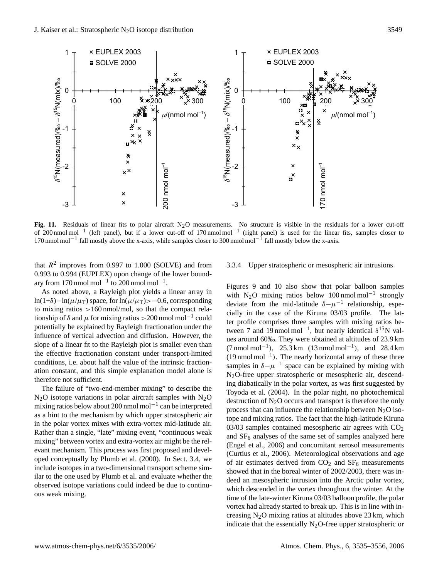

**Fig. 11.** Residuals of linear fits to polar aircraft  $N_2O$  measurements. No structure is visible in the residuals for a lower cut-off of 200 nmol mol<sup>-1</sup> (left panel), but if a lower cut-off of 170 nmol mol<sup>-1</sup> (right panel) is used for the linear fits, samples closer to 170 nmol mol<sup>-1</sup> fall mostly above the x-axis, while samples closer to 300 nmol mol<sup>-1</sup> fall mostly below the x-axis.

that  $R^2$  improves from 0.997 to 1.000 (SOLVE) and from 0.993 to 0.994 (EUPLEX) upon change of the lower boundary from 170 nmol mol<sup>-1</sup> to 200 nmol mol<sup>-1</sup>.

As noted above, a Rayleigh plot yields a linear array in ln(1+δ)−ln( $\mu/\mu$ <sub>T</sub>) space, for ln( $\mu/\mu$ <sub>T</sub>)>−0.6, corresponding to mixing ratios >160 nmol/mol, so that the compact relationship of  $\delta$  and  $\mu$  for mixing ratios > 200 nmol mol<sup>-1</sup> could potentially be explained by Rayleigh fractionation under the influence of vertical advection and diffusion. However, the slope of a linear fit to the Rayleigh plot is smaller even than the effective fractionation constant under transport-limited conditions, i.e. about half the value of the intrinsic fractionation constant, and this simple explanation model alone is therefore not sufficient.

The failure of "two-end-member mixing" to describe the  $N_2O$  isotope variations in polar aircraft samples with  $N_2O$ mixing ratios below about 200 nmol mol−<sup>1</sup> can be interpreted as a hint to the mechanism by which upper stratospheric air in the polar vortex mixes with extra-vortex mid-latitude air. Rather than a single, "late" mixing event, "continuous weak mixing" between vortex and extra-vortex air might be the relevant mechanism. This process was first proposed and developed conceptually by Plumb et al. (2000). In Sect. [3.4,](#page-15-0) we include isotopes in a two-dimensional transport scheme similar to the one used by Plumb et al. and evaluate whether the observed isotope variations could indeed be due to continuous weak mixing.

## 3.3.4 Upper stratospheric or mesospheric air intrusions

Figures 9 and 10 also show that polar balloon samples with N<sub>2</sub>O mixing ratios below 100 nmol mol<sup>-1</sup> strongly deviate from the mid-latitude  $\delta - \mu^{-1}$  relationship, especially in the case of the Kiruna 03/03 profile. The latter profile comprises three samples with mixing ratios between 7 and 19 nmol mol<sup>-1</sup>, but nearly identical  $\delta^{15}N$  values around 60‰. They were obtained at altitudes of 23.9 km  $(7 \text{ nmol mol}^{-1})$ , 25.3 km  $(13 \text{ nmol mol}^{-1})$ , and 28.4 km (19 nmol mol−<sup>1</sup> ). The nearly horizontal array of these three samples in  $\delta - \mu^{-1}$  space can be explained by mixing with N2O-free upper stratospheric or mesospheric air, descending diabatically in the polar vortex, as was first suggested by Toyoda et al. (2004). In the polar night, no photochemical destruction of  $N_2O$  occurs and transport is therefore the only process that can influence the relationship between  $N_2O$  isotope and mixing ratios. The fact that the high-latitude Kiruna 03/03 samples contained mesospheric air agrees with  $CO<sub>2</sub>$ and  $SF<sub>6</sub>$  analyses of the same set of samples analyzed here (Engel et al., 2006) and concomitant aerosol measurements (Curtius et al., 2006). Meteorological observations and age of air estimates derived from  $CO<sub>2</sub>$  and  $SF<sub>6</sub>$  measurements showed that in the boreal winter of 2002/2003, there was indeed an mesospheric intrusion into the Arctic polar vortex, which descended in the vortex throughout the winter. At the time of the late-winter Kiruna 03/03 balloon profile, the polar vortex had already started to break up. This is in line with increasing  $N_2O$  mixing ratios at altitudes above 23 km, which indicate that the essentially  $N_2O$ -free upper stratospheric or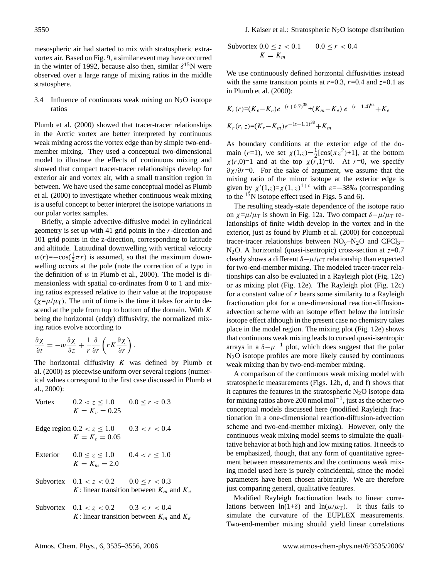mesospheric air had started to mix with stratospheric extravortex air. Based on Fig. 9, a similar event may have occurred in the winter of 1992, because also then, similar  $\delta^{15}$ N were observed over a large range of mixing ratios in the middle stratosphere.

<span id="page-15-0"></span>3.4 Influence of continuous weak mixing on  $N_2O$  isotope ratios

Plumb et al. (2000) showed that tracer-tracer relationships in the Arctic vortex are better interpreted by continuous weak mixing across the vortex edge than by simple two-endmember mixing. They used a conceptual two-dimensional model to illustrate the effects of continuous mixing and showed that compact tracer-tracer relationships develop for exterior air and vortex air, with a small transition region in between. We have used the same conceptual model as Plumb et al. (2000) to investigate whether continuous weak mixing is a useful concept to better interpret the isotope variations in our polar vortex samples.

Briefly, a simple advective-diffusive model in cylindrical geometry is set up with 41 grid points in the r-direction and 101 grid points in the z-direction, corresponding to latitude and altitude. Latitudinal downwelling with vertical velocity  $w(r) = -\cos(\frac{1}{2}\pi r)$  is assumed, so that the maximum downwelling occurs at the pole (note the correction of a typo in the definition of  $w$  in Plumb et al., 2000). The model is dimensionless with spatial co-ordinates from 0 to 1 and mixing ratios expressed relative to their value at the tropopause  $(\chi = \mu/\mu)$ . The unit of time is the time it takes for air to descend at the pole from top to bottom of the domain. With  $K$ being the horizontal (eddy) diffusivity, the normalized mixing ratios evolve according to

$$
\frac{\partial \chi}{\partial t} = -w \frac{\partial \chi}{\partial z} + \frac{1}{r} \frac{\partial}{\partial r} \left( r K \frac{\partial \chi}{\partial r} \right).
$$

The horizontal diffusivity  $K$  was defined by Plumb et al. (2000) as piecewise uniform over several regions (numerical values correspond to the first case discussed in Plumb et al., 2000):

Vortex

\n
$$
0.2 < z \leq 1.0 \quad 0.0 \leq r < 0.3
$$
\n
$$
K = K_v = 0.25
$$

Edge region  $0.2 < z \le 1.0$   $0.3 < r < 0.4$  $K = K_e = 0.05$ 

- Exterior  $0.0 \le z \le 1.0$   $0.4 < r \le 1.0$  $K = K_m = 2.0$
- Subvortex  $0.1 < z < 0.2$   $0.0 < r < 0.3$ K: linear transition between  $K_m$  and  $K_v$
- Subvortex  $0.1 < z < 0.2$   $0.3 < r < 0.4$ K: linear transition between  $K_m$  and  $K_e$

$$
\begin{aligned} \text{Subvortex } & 0.0 \le z < 0.1 & 0.0 \le r < 0.4 \\ & K = K_m \end{aligned}
$$

We use continuously defined horizontal diffusivities instead with the same transition points at  $r=0.3$ ,  $r=0.4$  and  $z=0.1$  as in Plumb et al. (2000):

$$
K_r(r)=(K_v-K_e)e^{-(r+0.7)^{38}}+(K_m-K_e)e^{-(r-1.4)^{62}}+K_e
$$
  

$$
K_r(r, z)=(K_r-K_m)e^{-(z-1.1)^{38}}+K_m
$$

As boundary conditions at the exterior edge of the domain  $(r=1)$ , we set  $\chi(1, z) = \frac{1}{2} [\cos(\pi z^2) + 1]$ , at the bottom  $\chi(r,0)=1$  and at the top  $\chi(r,1)=0$ . At r=0, we specify  $\partial \chi / \partial r = 0$ . For the sake of argument, we assume that the mixing ratio of the minor isotope at the exterior edge is given by  $\chi'(1, z) = \chi(1, z)^{1+\epsilon}$  with  $\varepsilon = -38\%$  (corresponding to the  $15N$  isotope effect used in Figs. 5 and 6).

The resulting steady-state dependence of the isotope ratio on  $\chi = \mu / \mu$  is shown in Fig. 12a. Two compact  $\delta - \mu / \mu$  relationships of finite width develop in the vortex and in the exterior, just as found by Plumb et al. (2000) for conceptual tracer-tracer relationships between  $NO<sub>v</sub>-N<sub>2</sub>O$  and  $CFCl<sub>3</sub>$ -N<sub>2</sub>O. A horizontal (quasi-isentropic) cross-section at  $z=0.7$ clearly shows a different  $\delta - \mu/\mu$ <sub>T</sub> relationship than expected for two-end-member mixing. The modeled tracer-tracer relationships can also be evaluated in a Rayleigh plot (Fig. 12c) or as mixing plot (Fig. 12e). The Rayleigh plot (Fig. 12c) for a constant value of  $r$  bears some similarity to a Rayleigh fractionation plot for a one-dimensional reaction-diffusionadvection scheme with an isotope effect below the intrinsic isotope effect although in the present case no chemistry takes place in the model region. The mixing plot (Fig. 12e) shows that continuous weak mixing leads to curved quasi-isentropic arrays in a  $\delta - \mu^{-1}$  plot, which does suggest that the polar N2O isotope profiles are more likely caused by continuous weak mixing than by two-end-member mixing.

A comparison of the continuous weak mixing model with stratospheric measurements (Figs. 12b, d, and f) shows that it captures the features in the stratospheric  $N_2O$  isotope data for mixing ratios above 200 nmol mol−<sup>1</sup> , just as the other two conceptual models discussed here (modified Rayleigh fractionation in a one-dimensional reaction-diffusion-advection scheme and two-end-member mixing). However, only the continuous weak mixing model seems to simulate the qualitative behavior at both high and low mixing ratios. It needs to be emphasized, though, that any form of quantitative agreement between measurements and the continuous weak mixing model used here is purely coincidental, since the model parameters have been chosen arbitrarily. We are therefore just comparing general, qualitative features.

Modified Rayleigh fractionation leads to linear correlations between  $ln(1+\delta)$  and  $ln(\mu/\mu)$ . It thus fails to simulate the curvature of the EUPLEX measurements. Two-end-member mixing should yield linear correlations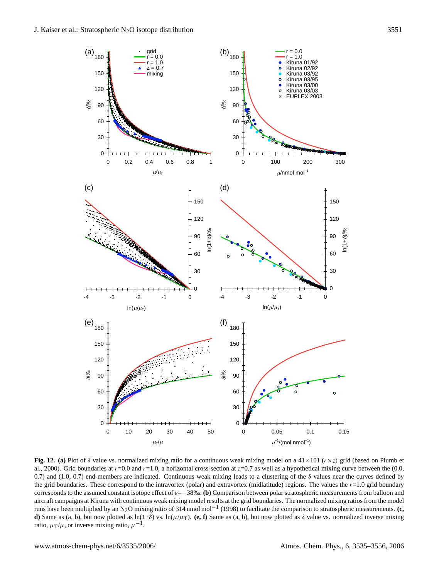

**Fig. 12.** (a) Plot of  $\delta$  value vs. normalized mixing ratio for a continuous weak mixing model on a 41×101 ( $r \times z$ ) grid (based on Plumb et al., 2000). Grid boundaries at  $r=0.0$  and  $r=1.0$ , a horizontal cross-section at  $z=0.7$  as well as a hypothetical mixing curve between the (0.0, 0.7) and (1.0, 0.7) end-members are indicated. Continuous weak mixing leads to a clustering of the  $\delta$  values near the curves defined by the grid boundaries. These correspond to the intravortex (polar) and extravortex (midlatitude) regions. The values the  $r=1.0$  grid boundary corresponds to the assumed constant isotope effect of ε=−38‰. **(b)** Comparison between polar stratospheric measurements from balloon and aircraft campaigns at Kiruna with continuous weak mixing model results at the grid boundaries. The normalized mixing ratios from the model runs have been multiplied by an N2O mixing ratio of 314 nmol mol−<sup>1</sup> (1998) to facilitate the comparison to stratospheric measurements. **(c, d**) Same as (a, b), but now plotted as  $\ln(1+\delta)$  vs.  $\ln(\mu/\mu_T)$ . (e, f) Same as (a, b), but now plotted as  $\delta$  value vs. normalized inverse mixing ratio,  $\mu_T/\mu$ , or inverse mixing ratio,  $\mu^{-1}$ .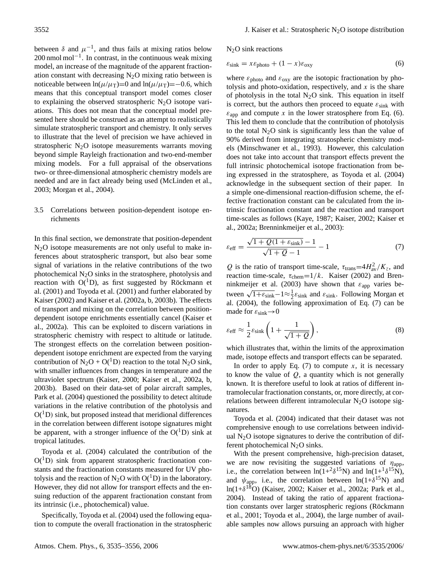between  $\delta$  and  $\mu^{-1}$ , and thus fails at mixing ratios below 200 nmol mol<sup>-1</sup>. In contrast, in the continuous weak mixing model, an increase of the magnitude of the apparent fractionation constant with decreasing  $N_2O$  mixing ratio between is noticeable between  $ln(\mu/\mu) = 0$  and  $ln(\mu/\mu) = -0.6$ , which means that this conceptual transport model comes closer to explaining the observed stratospheric  $N_2O$  isotope variations. This does not mean that the conceptual model presented here should be construed as an attempt to realistically simulate stratospheric transport and chemistry. It only serves to illustrate that the level of precision we have achieved in stratospheric  $N_2O$  isotope measurements warrants moving beyond simple Rayleigh fractionation and two-end-member mixing models. For a full appraisal of the observations two- or three-dimensional atmospheric chemistry models are needed and are in fact already being used (McLinden et al., 2003; Morgan et al., 2004).

# <span id="page-17-0"></span>3.5 Correlations between position-dependent isotope enrichments

In this final section, we demonstrate that position-dependent  $N_2O$  isotope measurements are not only useful to make inferences about stratospheric transport, but also bear some signal of variations in the relative contributions of the two photochemical  $N_2O$  sinks in the stratosphere, photolysis and reaction with  $O(^{1}D)$ , as first suggested by Röckmann et al. (2001) and Toyoda et al. (2001) and further elaborated by Kaiser (2002) and Kaiser et al. (2002a, b, 2003b). The effects of transport and mixing on the correlation between positiondependent isotope enrichments essentially cancel (Kaiser et al., 2002a). This can be exploited to discern variations in stratospheric chemistry with respect to altitude or latitude. The strongest effects on the correlation between positiondependent isotope enrichment are expected from the varying contribution of  $N_2O + O(^1D)$  reaction to the total  $N_2O$  sink, with smaller influences from changes in temperature and the ultraviolet spectrum (Kaiser, 2000; Kaiser et al., 2002a, b, 2003b). Based on their data-set of polar aircraft samples, Park et al. (2004) questioned the possibility to detect altitude variations in the relative contribution of the photolysis and  $O(^1D)$  sink, but proposed instead that meridional differences in the correlation between different isotope signatures might be apparent, with a stronger influence of the  $O(^1D)$  sink at tropical latitudes.

Toyoda et al. (2004) calculated the contribution of the  $O(^1D)$  sink from apparent stratospheric fractionation constants and the fractionation constants measured for UV photolysis and the reaction of N<sub>2</sub>O with  $O(^1D)$  in the laboratory. However, they did not allow for transport effects and the ensuing reduction of the apparent fractionation constant from its intrinsic (i.e., photochemical) value.

Specifically, Toyoda et al. (2004) used the following equation to compute the overall fractionation in the stratospheric  $N<sub>2</sub>O$  sink reactions

<span id="page-17-1"></span>
$$
\varepsilon_{\rm sink} = x \varepsilon_{\rm photo} + (1 - x) \varepsilon_{\rm oxy}
$$
 (6)

where  $\varepsilon_{\text{photo}}$  and  $\varepsilon_{\text{oxy}}$  are the isotopic fractionation by photolysis and photo-oxidation, respectively, and  $x$  is the share of photolysis in the total  $N_2O$  sink. This equation in itself is correct, but the authors then proceed to equate  $\varepsilon_{\text{sink}}$  with  $\varepsilon_{app}$  and compute x in the lower stratosphere from Eq. [\(6\)](#page-17-1). This led them to conclude that the contribution of photolysis to the total  $N_2O$  sink is significantly less than the value of 90% derived from integrating stratospheric chemistry models (Minschwaner et al., 1993). However, this calculation does not take into account that transport effects prevent the full intrinsic photochemical isotope fractionation from being expressed in the stratosphere, as Toyoda et al. (2004) acknowledge in the subsequent section of their paper. In a simple one-dimensional reaction-diffusion scheme, the effective fractionation constant can be calculated from the intrinsic fractionation constant and the reaction and transport time-scales as follows (Kaye, 1987; Kaiser, 2002; Kaiser et al., 2002a; Brenninkmeijer et al., 2003):

<span id="page-17-2"></span>
$$
\varepsilon_{\text{eff}} = \frac{\sqrt{1 + Q(1 + \varepsilon_{\text{sink}})} - 1}{\sqrt{1 + Q} - 1} - 1\tag{7}
$$

Q is the ratio of transport time-scale,  $\tau_{trans} = 4H_{av}^2/K_z$ , and reaction time-scale,  $\tau_{\text{chem}}=1/k$ . Kaiser (2002) and Brenninkmeijer et al. (2003) have shown that  $\varepsilon_{app}$  varies between  $\sqrt{1+\varepsilon_{\text{sink}}}-1 \approx \frac{1}{2}\varepsilon_{\text{sink}}$  and  $\varepsilon_{\text{sink}}$ . Following Morgan et al. (2004), the following approximation of Eq. [\(7\)](#page-17-2) can be made for  $\varepsilon_{\rm sink} \rightarrow 0$ 

$$
\varepsilon_{\text{eff}} \approx \frac{1}{2} \varepsilon_{\text{sink}} \left( 1 + \frac{1}{\sqrt{1+Q}} \right),\tag{8}
$$

which illustrates that, within the limits of the approximation made, isotope effects and transport effects can be separated.

In order to apply Eq.  $(7)$  to compute x, it is necessary to know the value of  $Q$ , a quantity which is not generally known. It is therefore useful to look at ratios of different intramolecular fractionation constants, or, more directly, at correlations between different intramolecular  $N_2O$  isotope signatures.

Toyoda et al. (2004) indicated that their dataset was not comprehensive enough to use correlations between individual  $N_2O$  isotope signatures to derive the contribution of different photochemical  $N_2O$  sinks.

With the present comprehensive, high-precision dataset, we are now revisiting the suggested variations of  $\eta_{\text{app}}$ , i.e., the correlation between  $ln(1+2\delta^{15}N)$  and  $ln(1+1\delta^{15}N)$ , and  $\psi_{app}$ , i.e., the correlation between  $ln(1+\delta^{15}N)$  and ln(1+ $\delta^{18}$ O) (Kaiser, 2002; Kaiser et al., 2002a; Park et al., 2004). Instead of taking the ratio of apparent fractionation constants over larger stratospheric regions (Röckmann et al., 2001; Toyoda et al., 2004), the large number of available samples now allows pursuing an approach with higher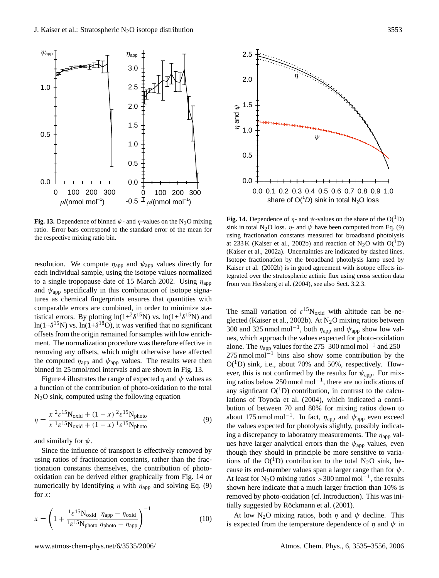

**Fig. 13.** Dependence of binned  $\psi$ - and  $\eta$ -values on the N<sub>2</sub>O mixing ratio. Error bars correspond to the standard error of the mean for the respective mixing ratio bin.

resolution. We compute  $\eta_{app}$  and  $\psi_{app}$  values directly for each individual sample, using the isotope values normalized to a single tropopause date of 15 March 2002. Using  $\eta_{app}$ and  $\psi_{\text{app}}$  specifically in this combination of isotope signatures as chemical fingerprints ensures that quantities with comparable errors are combined, in order to minimize statistical errors. By plotting  $\ln(1+^{2}\delta^{15}N)$  vs.  $\ln(1+^{1}\delta^{15}N)$  and ln(1+ $\delta$ <sup>15</sup>N) vs. ln(1+ $\delta$ <sup>18</sup>O), it was verified that no significant offsets from the origin remained for samples with low enrichment. The normalization procedure was therefore effective in removing any offsets, which might otherwise have affected the computed  $\eta_{app}$  and  $\psi_{app}$  values. The results were then binned in 25 nmol/mol intervals and are shown in Fig. 13.

Figure 4 illustrates the range of expected  $\eta$  and  $\psi$  values as a function of the contribution of photo-oxidation to the total  $N<sub>2</sub>O$  sink, computed using the following equation

<span id="page-18-0"></span>
$$
\eta = \frac{x^2 \varepsilon^{15} N_{\text{oxid}} + (1 - x)^2 \varepsilon^{15} N_{\text{photo}}}{x^1 \varepsilon^{15} N_{\text{oxid}} + (1 - x)^1 \varepsilon^{15} N_{\text{photo}}}
$$
(9)

and similarly for  $\psi$ .

Since the influence of transport is effectively removed by using ratios of fractionation constants, rather than the fractionation constants themselves, the contribution of photooxidation can be derived either graphically from Fig. 14 or numerically by identifying  $\eta$  with  $\eta_{app}$  and solving Eq. [\(9\)](#page-18-0) for  $x$ :

$$
x = \left(1 + \frac{1_{\mathcal{E}}^{15} \text{N}_{\text{oxid}}}{1_{\mathcal{E}}^{15} \text{N}_{\text{photo}}} \frac{\eta_{\text{app}} - \eta_{\text{oxid}}}{\eta_{\text{photo}} - \eta_{\text{app}}}\right)^{-1} \tag{10}
$$



**Fig. 14.** Dependence of  $\eta$ - and  $\psi$ -values on the share of the O(<sup>1</sup>D) sink in total N<sub>2</sub>O loss.  $\eta$ - and  $\psi$  have been computed from Eq. [\(9\)](#page-18-0) using fractionation constants measured for broadband photolysis at 233 K (Kaiser et al., 2002b) and reaction of  $N_2O$  with  $O(^1D)$ (Kaiser et al., 2002a). Uncertainties are indicated by dashed lines. Isotope fractionation by the broadband photolysis lamp used by Kaiser et al. (2002b) is in good agreement with isotope effects integrated over the stratospheric actinic flux using cross section data from von Hessberg et al. (2004), see also Sect. [3.2.3.](#page-8-1)

The small variation of  $\epsilon^{15}N_{\text{oxid}}$  with altitude can be neglected (Kaiser et al., 2002b). At N<sub>2</sub>O mixing ratios between 300 and 325 nmol mol<sup>-1</sup>, both  $\eta_{app}$  and  $\psi_{app}$  show low values, which approach the values expected for photo-oxidation alone. The  $\eta_{app}$  values for the 275–300 nmol mol<sup>-1</sup> and 250–  $275$  nmol mol<sup> $-1$ </sup> bins also show some contribution by the  $O(^1D)$  sink, i.e., about 70% and 50%, respectively. However, this is not confirmed by the results for  $\psi_{\text{app}}$ . For mixing ratios below 250 nmol mol−<sup>1</sup> , there are no indications of any signficant  $O(^1D)$  contribution, in contrast to the calculations of Toyoda et al. (2004), which indicated a contribution of between 70 and 80% for mixing ratios down to about 175 nmol mol<sup>-1</sup>. In fact,  $\eta_{app}$  and  $\psi_{app}$  even exceed the values expected for photolysis slightly, possibly indicating a discrepancy to laboratory measurements. The  $\eta_{\text{app}}$  values have larger analytical errors than the  $\psi_{app}$  values, even though they should in principle be more sensitive to variations of the  $O(^1D)$  contribution to the total N<sub>2</sub>O sink, because its end-member values span a larger range than for  $\psi$ . At least for N<sub>2</sub>O mixing ratios > 300 nmol mol<sup>-1</sup>, the results shown here indicate that a much larger fraction than 10% is removed by photo-oxidation (cf. Introduction). This was initially suggested by Röckmann et al. (2001).

At low N<sub>2</sub>O mixing ratios, both  $\eta$  and  $\psi$  decline. This is expected from the temperature dependence of  $\eta$  and  $\psi$  in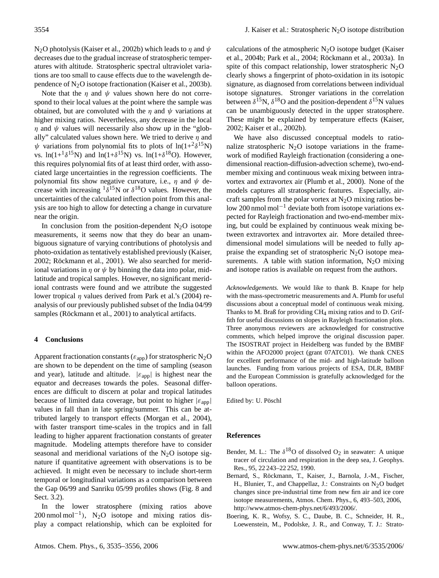N<sub>2</sub>O photolysis (Kaiser et al., 2002b) which leads to  $\eta$  and  $\psi$ decreases due to the gradual increase of stratospheric temperatures with altitude. Stratospheric spectral ultraviolet variations are too small to cause effects due to the wavelength dependence of  $N_2O$  isotope fractionation (Kaiser et al., 2003b).

Note that the  $\eta$  and  $\psi$  values shown here do not correspond to their local values at the point where the sample was obtained, but are convoluted with the  $\eta$  and  $\psi$  variations at higher mixing ratios. Nevertheless, any decrease in the local  $\eta$  and  $\psi$  values will necessarily also show up in the "globally" calculated values shown here. We tried to derive  $\eta$  and  $\psi$  variations from polynomial fits to plots of  $ln(1+2\delta^{15}N)$ vs. ln(1+ $\delta^{15}$ N) and ln(1+ $\delta^{15}$ N) vs. ln(1+ $\delta^{18}$ O). However, this requires polynomial fits of at least third order, with associated large uncertainties in the regression coefficients. The polynomial fits show negative curvature, i.e.,  $\eta$  and  $\psi$  decrease with increasing  $1\delta^{15}N$  or  $\delta^{18}O$  values. However, the uncertainties of the calculated inflection point from this analysis are too high to allow for detecting a change in curvature near the origin.

In conclusion from the position-dependent  $N_2O$  isotope measurements, it seems now that they do bear an unambiguous signature of varying contributions of photolysis and photo-oxidation as tentatively established previously (Kaiser, 2002; Röckmann et al., 2001). We also searched for meridional variations in  $\eta$  or  $\psi$  by binning the data into polar, midlatitude and tropical samples. However, no significant meridional contrasts were found and we attribute the suggested lower tropical  $\eta$  values derived from Park et al.'s (2004) reanalysis of our previously published subset of the India 04/99 samples (Röckmann et al., 2001) to analytical artifacts.

# **4 Conclusions**

Apparent fractionation constants ( $\varepsilon_{app}$ ) for stratospheric N<sub>2</sub>O are shown to be dependent on the time of sampling (season and year), latitude and altitude.  $|\varepsilon_{app}|$  is highest near the equator and decreases towards the poles. Seasonal differences are difficult to discern at polar and tropical latitudes because of limited data coverage, but point to higher  $|\varepsilon_{\text{app}}|$ values in fall than in late spring/summer. This can be attributed largely to transport effects (Morgan et al., 2004), with faster transport time-scales in the tropics and in fall leading to higher apparent fractionation constants of greater magnitude. Modeling attempts therefore have to consider seasonal and meridional variations of the  $N_2O$  isotope signature if quantitative agreement with observations is to be achieved. It might even be necessary to include short-term temporal or longitudinal variations as a comparison between the Gap 06/99 and Sanriku 05/99 profiles shows (Fig. 8 and Sect. [3.2\)](#page-5-1).

In the lower stratosphere (mixing ratios above 200 nmol mol−<sup>1</sup> ), N2O isotope and mixing ratios display a compact relationship, which can be exploited for calculations of the atmospheric  $N_2O$  isotope budget (Kaiser et al., 2004b; Park et al., 2004; Röckmann et al., 2003a). In spite of this compact relationship, lower stratospheric  $N_2O$ clearly shows a fingerprint of photo-oxidation in its isotopic signature, as diagnosed from correlations between individual isotope signatures. Stronger variations in the correlation between  $\delta^{15}N$ ,  $\delta^{18}O$  and the position-dependent  $\delta^{15}N$  values can be unambiguously detected in the upper stratosphere. These might be explained by temperature effects (Kaiser, 2002; Kaiser et al., 2002b).

We have also discussed conceptual models to rationalize stratospheric  $N_2O$  isotope variations in the framework of modified Rayleigh fractionation (considering a onedimensional reaction-diffusion-advection scheme), two-endmember mixing and continuous weak mixing between intravortex and extravortex air (Plumb et al., 2000). None of the models captures all stratospheric features. Especially, aircraft samples from the polar vortex at  $N_2O$  mixing ratios below 200 nmol mol−<sup>1</sup> deviate both from isotope variations expected for Rayleigh fractionation and two-end-member mixing, but could be explained by continuous weak mixing between extravortex and intravortex air. More detailed threedimensional model simulations will be needed to fully appraise the expanding set of stratospheric  $N_2O$  isotope measurements. A table with station information,  $N_2O$  mixing and isotope ratios is available on request from the authors.

*Acknowledgements.* We would like to thank B. Knape for help with the mass-spectrometric measurements and A. Plumb for useful discussions about a conceptual model of continuous weak mixing. Thanks to M. Braß for providing  $CH_4$  mixing ratios and to D. Griffith for useful discussions on slopes in Rayleigh fractionation plots. Three anonymous reviewers are acknowledged for constructive comments, which helped improve the original discussion paper. The ISOSTRAT project in Heidelberg was funded by the BMBF within the AFO2000 project (grant 07ATC01). We thank CNES for excellent performance of the mid- and high-latitude balloon launches. Funding from various projects of ESA, DLR, BMBF and the European Commission is gratefully acknowledged for the balloon operations.

Edited by: U. Pöschl

## **References**

- Bender, M. L.: The  $\delta^{18}O$  of dissolved  $O_2$  in seawater: A unique tracer of circulation and respiration in the deep sea, J. Geophys. Res., 95, 22 243–22 252, 1990.
- Bernard, S., Röckmann, T., Kaiser, J., Barnola, J.-M., Fischer, H., Blunier, T., and Chappellaz, J.: Constraints on  $N_2O$  budget changes since pre-industrial time from new firn air and ice core isotope measurements, Atmos. Chem. Phys., 6, 493–503, 2006, [http://www.atmos-chem-phys.net/6/493/2006/.](http://www.atmos-chem-phys.net/6/493/2006/)
- Boering, K. R., Wofsy, S. C., Daube, B. C., Schneider, H. R., Loewenstein, M., Podolske, J. R., and Conway, T. J.: Strato-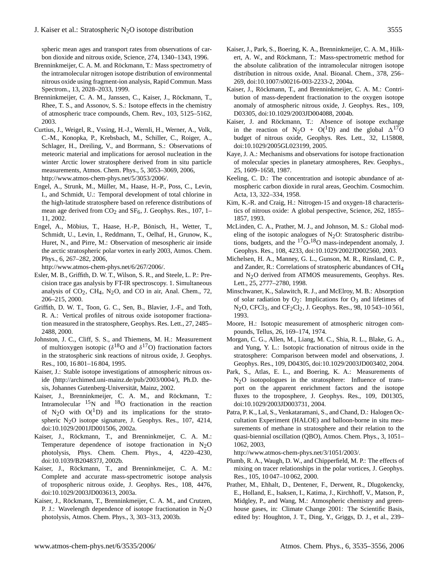spheric mean ages and transport rates from observations of carbon dioxide and nitrous oxide, Science, 274, 1340–1343, 1996.

- Brenninkmeijer, C. A. M. and Röckmann, T.: Mass spectrometry of the intramolecular nitrogen isotope distribution of environmental nitrous oxide using fragment-ion analysis, Rapid Commun. Mass Spectrom., 13, 2028–2033, 1999.
- Brenninkmeijer, C. A. M., Janssen, C., Kaiser, J., Röckmann, T., Rhee, T. S., and Assonov, S. S.: Isotope effects in the chemistry of atmospheric trace compounds, Chem. Rev., 103, 5125–5162, 2003.
- Curtius, J., Weigel, R., Vssing, H.-J., Wernli, H., Werner, A., Volk, C.-M., Konopka, P., Krebsbach, M., Schiller, C., Roiger, A., Schlager, H., Dreiling, V., and Borrmann, S.: Observations of meteoric material and implications for aerosol nucleation in the winter Arctic lower stratosphere derived from in situ particle measurements, Atmos. Chem. Phys., 5, 3053–3069, 2006, [http://www.atmos-chem-phys.net/5/3053/2006/.](http://www.atmos-chem-phys.net/5/3053/2006/)
- Engel, A., Strunk, M., Müller, M., Haase, H.-P., Poss, C., Levin, I., and Schmidt, U.: Temporal development of total chlorine in the high-latitude stratosphere based on reference distributions of mean age derived from  $CO<sub>2</sub>$  and  $SF<sub>6</sub>$ , J. Geophys. Res., 107, 1– 11, 2002.
- Engel, A., Möbius, T., Haase, H.-P., Bönisch, H., Wetter, T., Schmidt, U., Levin, I., Reddmann, T., Oelhaf, H., Grunow, K., Huret, N., and Pirre, M.: Observation of mesospheric air inside the arctic stratospheric polar vortex in early 2003, Atmos. Chem. Phys., 6, 267–282, 2006,

[http://www.atmos-chem-phys.net/6/267/2006/.](http://www.atmos-chem-phys.net/6/267/2006/)

- Esler, M. B., Griffith, D. W. T., Wilson, S. R., and Steele, L. P.: Precision trace gas analysis by FT-IR spectroscopy. 1. Simultaneous analysis of  $CO<sub>2</sub>$ ,  $CH<sub>4</sub>$ , N<sub>2</sub>O, and CO in air, Anal. Chem., 72, 206–215, 2000.
- Griffith, D. W. T., Toon, G. C., Sen, B., Blavier, J.-F., and Toth, R. A.: Vertical profiles of nitrous oxide isotopomer fractionation measured in the stratosphere, Geophys. Res. Lett., 27, 2485– 2488, 2000.
- Johnston, J. C., Cliff, S. S., and Thiemens, M. H.: Measurement of multioxygen isotopic ( $\delta^{18}$ O and  $\delta^{17}$ O) fractionation factors in the stratospheric sink reactions of nitrous oxide, J. Geophys. Res., 100, 16 801–16 804, 1995.
- Kaiser, J.: Stable isotope investigations of atmospheric nitrous oxide [\(http://archimed.uni-mainz.de/pub/2003/0004/\)](http://archimed.uni-mainz.de/pub/2003/0004/), Ph.D. thesis, Johannes Gutenberg-Universität, Mainz, 2002.
- Kaiser, J., Brenninkmeijer, C. A. M., and Röckmann, T.: Intramolecular  $15N$  and  $18O$  fractionation in the reaction of N<sub>2</sub>O with  $O(^{1}D)$  and its implications for the stratospheric N2O isotope signature, J. Geophys. Res., 107, 4214, doi:10.1029/2001JD001506, 2002a.
- Kaiser, J., Röckmann, T., and Brenninkmeijer, C. A. M.: Temperature dependence of isotope fractionation in  $N_2O$ photolysis, Phys. Chem. Chem. Phys., 4, 4220–4230, doi:10.1039/B204837J, 2002b.
- Kaiser, J., Röckmann, T., and Brenninkmeijer, C. A. M.: Complete and accurate mass-spectrometric isotope analysis of tropospheric nitrous oxide, J. Geophys. Res., 108, 4476, doi:10.1029/2003JD003613, 2003a.
- Kaiser, J., Röckmann, T., Brenninkmeijer, C. A. M., and Crutzen, P. J.: Wavelength dependence of isotope fractionation in  $N_2O$ photolysis, Atmos. Chem. Phys., 3, 303–313, 2003b.
- Kaiser, J., Park, S., Boering, K. A., Brenninkmeijer, C. A. M., Hilkert, A. W., and Röckmann, T.: Mass-spectrometric method for the absolute calibration of the intramolecular nitrogen isotope distribution in nitrous oxide, Anal. Bioanal. Chem., 378, 256– 269, doi:10.1007/s00216-003-2233-2, 2004a.
- Kaiser, J., Röckmann, T., and Brenninkmeijer, C. A. M.: Contribution of mass-dependent fractionation to the oxygen isotope anomaly of atmospheric nitrous oxide, J. Geophys. Res., 109, D03305, doi:10.1029/2003JD004088, 2004b.
- Kaiser, J. and Röckmann, T.: Absence of isotope exchange in the reaction of N<sub>2</sub>O + O(<sup>1</sup>D) and the global  $\Delta^{17}$ O budget of nitrous oxide, Geophys. Res. Lett., 32, L15808, doi:10.1029/2005GL023199, 2005.
- Kaye, J. A.: Mechanisms and observations for isotope fractionation of molecular species in planetary atmospheres, Rev. Geophys., 25, 1609–1658, 1987.
- Keeling, C. D.: The concentration and isotopic abundance of atmospheric carbon dioxide in rural areas, Geochim. Cosmochim. Acta, 13, 322–334, 1958.
- Kim, K.-R. and Craig, H.: Nitrogen-15 and oxygen-18 characteristics of nitrous oxide: A global perspective, Science, 262, 1855– 1857, 1993.
- McLinden, C. A., Prather, M. J., and Johnson, M. S.: Global modeling of the isotopic analogues of  $N_2O$ : Stratospheric distributions, budgets, and the  $17O-18O$  mass-independent anomaly, J. Geophys. Res., 108, 4233, doi:10.1029/2002JD002560, 2003.
- Michelsen, H. A., Manney, G. L., Gunson, M. R., Rinsland, C. P., and Zander, R.: Correlations of stratospheric abundances of CH4 and N2O derived from ATMOS measurements, Geophys. Res. Lett., 25, 2777–2780, 1998.
- Minschwaner, K., Salawitch, R. J., and McElroy, M. B.: Absorption of solar radiation by  $O_2$ : Implications for  $O_3$  and lifetimes of  $N_2O$ , CFCl<sub>3</sub>, and CF<sub>2</sub>Cl<sub>2</sub>, J. Geophys. Res., 98, 10543–10561, 1993.
- Moore, H.: Isotopic measurement of atmospheric nitrogen compounds, Tellus, 26, 169–174, 1974.
- Morgan, C. G., Allen, M., Liang, M. C., Shia, R. L., Blake, G. A., and Yung, Y. L.: Isotopic fractionation of nitrous oxide in the stratosphere: Comparison between model and observations, J. Geophys. Res., 109, D04305, doi:10.1029/2003JD003402, 2004.
- Park, S., Atlas, E. L., and Boering, K. A.: Measurements of N2O isotopologues in the stratosphere: Influence of transport on the apparent enrichment factors and the isotope fluxes to the troposphere, J. Geophys. Res., 109, D01305, doi:10.1029/2003JD003731, 2004.
- Patra, P. K., Lal, S., Venkataramani, S., and Chand, D.: Halogen Occultation Experiment (HALOE) and balloon-borne in situ measurements of methane in stratosphere and their relation to the quasi-biennial oscillation (QBO), Atmos. Chem. Phys., 3, 1051– 1062, 2003,

[http://www.atmos-chem-phys.net/3/1051/2003/.](http://www.atmos-chem-phys.net/3/1051/2003/)

- Plumb, R. A., Waugh, D. W., and Chipperfield, M. P.: The effects of mixing on tracer relationships in the polar vortices, J. Geophys. Res., 105, 10 047–10 062, 2000.
- Prather, M., Ehhalt, D., Dentener, F., Derwent, R., Dlugokencky, E., Holland, E., Isaksen, I., Katima, J., Kirchhoff, V., Matson, P., Midgley, P., and Wang, M.: Atmospheric chemistry and greenhouse gases, in: Climate Change 2001: The Scientific Basis, edited by: Houghton, J. T., Ding, Y., Griggs, D. J., et al., 239–